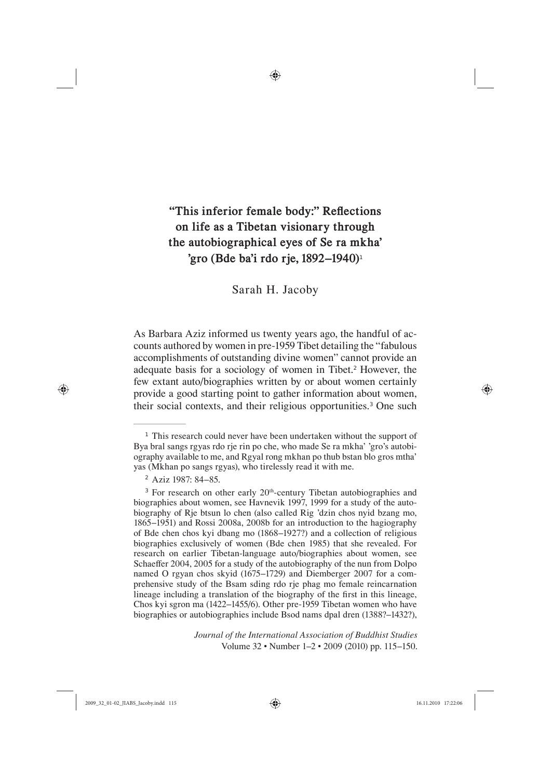# "This inferior female body:" Reflections **on life as a Tibetan visionary through the autobiographical eyes of Se ra mkha' 'gro (Bde ba'i rdo rje, 1892–1940)**<sup>1</sup>

# Sarah H. Jacoby

As Barbara Aziz informed us twenty years ago, the handful of accounts authored by women in pre-1959 Tibet detailing the "fabulous accomplishments of outstanding divine women" cannot provide an adequate basis for a sociology of women in Tibet.<sup>2</sup> However, the few extant auto/biographies written by or about women certainly provide a good starting point to gather information about women, their social contexts, and their religious opportunities.<sup>3</sup> One such

*Journal of the International Association of Buddhist Studies* Volume 32 • Number 1–2 • 2009 (2010) pp. 115–150.

2009\_32\_01-02\_JIABS\_Jacoby.indd 115 16.11.2010 17:22:06 6.11.2010 17:22:06 6.11.2010 17:22:06

 $\bigoplus$ 

<sup>&</sup>lt;sup>1</sup> This research could never have been undertaken without the support of Bya bral sangs rgyas rdo rje rin po che, who made Se ra mkha' 'gro's autobiography available to me, and Rgyal rong mkhan po thub bstan blo gros mtha' yas (Mkhan po sangs rgyas), who tirelessly read it with me.

<sup>2</sup> Aziz 1987: 84–85.

 $3$  For research on other early  $20<sup>th</sup>$ -century Tibetan autobiographies and biographies about women, see Havnevik 1997, 1999 for a study of the autobiography of Rje btsun lo chen (also called Rig 'dzin chos nyid bzang mo, 1865–1951) and Rossi 2008a, 2008b for an introduction to the hagiography of Bde chen chos kyi dbang mo (1868–1927?) and a collection of religious biographies exclusively of women (Bde chen 1985) that she revealed. For research on earlier Tibetan-language auto/biographies about women, see Schaeffer 2004, 2005 for a study of the autobiography of the nun from Dolpo named O rgyan chos skyid (1675–1729) and Diemberger 2007 for a comprehensive study of the Bsam sding rdo rje phag mo female reincarnation lineage including a translation of the biography of the first in this lineage, Chos kyi sgron ma (1422–1455/6). Other pre-1959 Tibetan women who have biographies or autobiographies include Bsod nams dpal dren (1388?–1432?),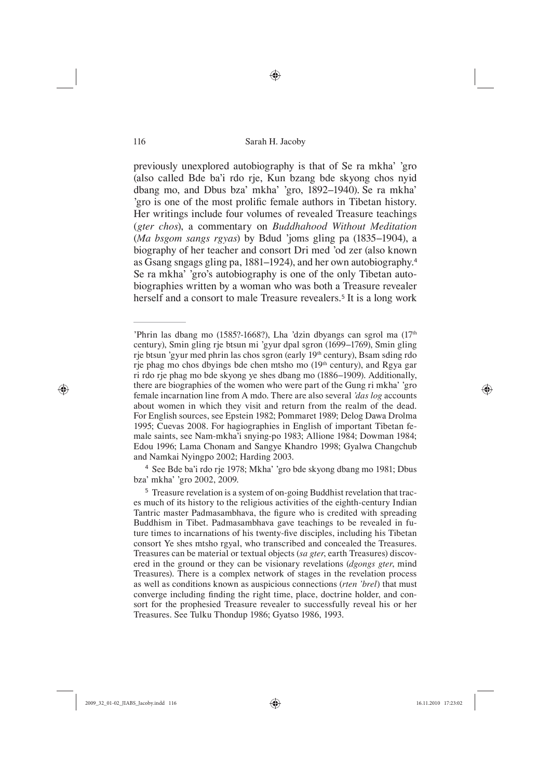previously unexplored autobiography is that of Se ra mkha' 'gro (also called Bde ba'i rdo rje, Kun bzang bde skyong chos nyid dbang mo, and Dbus bza' mkha' 'gro, 1892–1940). Se ra mkha' 'gro is one of the most prolific female authors in Tibetan history. Her writings include four volumes of revealed Treasure teachings (*gter chos*), a commentary on *Buddhahood Without Meditation* (*Ma bsgom sangs rgyas*) by Bdud 'joms gling pa (1835–1904), a biography of her teacher and consort Dri med 'od zer (also known as Gsang sngags gling pa, 1881–1924), and her own autobiography.<sup>4</sup> Se ra mkha' 'gro's autobiography is one of the only Tibetan autobiographies written by a woman who was both a Treasure revealer herself and a consort to male Treasure revealers.<sup>5</sup> It is a long work

<sup>4</sup> See Bde ba'i rdo rje 1978; Mkha' 'gro bde skyong dbang mo 1981; Dbus bza' mkha' 'gro 2002, 2009.

⊕

<sup>&#</sup>x27;Phrin las dbang mo (1585?-1668?), Lha 'dzin dbyangs can sgrol ma  $(17<sup>th</sup>)$ century), Smin gling rje btsun mi 'gyur dpal sgron (1699–1769), Smin gling rje btsun 'gyur med phrin las chos sgron (early 19th century), Bsam sding rdo rje phag mo chos dbyings bde chen mtsho mo (19th century), and Rgya gar ri rdo rje phag mo bde skyong ye shes dbang mo (1886–1909). Additionally, there are biographies of the women who were part of the Gung ri mkha' 'gro female incarnation line from A mdo. There are also several *'das log* accounts about women in which they visit and return from the realm of the dead. For English sources, see Epstein 1982; Pommaret 1989; Delog Dawa Drolma 1995; Cuevas 2008. For hagiographies in English of important Tibetan female saints, see Nam-mkha'i snying-po 1983; Allione 1984; Dowman 1984; Edou 1996; Lama Chonam and Sangye Khandro 1998; Gyalwa Changchub and Namkai Nyingpo 2002; Harding 2003.

<sup>&</sup>lt;sup>5</sup> Treasure revelation is a system of on-going Buddhist revelation that traces much of its history to the religious activities of the eighth-century Indian Tantric master Padmasambhava, the figure who is credited with spreading Buddhism in Tibet. Padmasambhava gave teachings to be revealed in future times to incarnations of his twenty-five disciples, including his Tibetan consort Ye shes mtsho rgyal, who transcribed and concealed the Treasures. Treasures can be material or textual objects (*sa gter*, earth Treasures) discovered in the ground or they can be visionary revelations (*dgongs gter*, mind Treasures). There is a complex network of stages in the revelation process as well as conditions known as auspicious connections (*rten 'brel*) that must converge including finding the right time, place, doctrine holder, and consort for the prophesied Treasure revealer to successfully reveal his or her Treasures. See Tulku Thondup 1986; Gyatso 1986, 1993.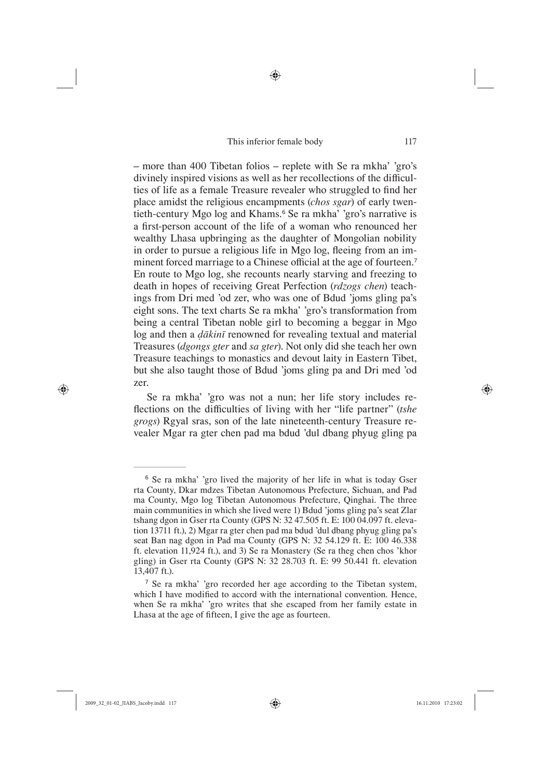♠

– more than 400 Tibetan folios – replete with Se ra mkha' 'gro's divinely inspired visions as well as her recollections of the difficulties of life as a female Treasure revealer who struggled to find her place amidst the religious encampments (*chos sgar*) of early twentieth-century Mgo log and Khams.<sup>6</sup> Se ra mkha' 'gro's narrative is a first-person account of the life of a woman who renounced her wealthy Lhasa upbringing as the daughter of Mongolian nobility in order to pursue a religious life in Mgo log, fleeing from an imminent forced marriage to a Chinese official at the age of fourteen.<sup>7</sup> En route to Mgo log, she recounts nearly starving and freezing to death in hopes of receiving Great Perfection (*rdzogs chen*) teachings from Dri med 'od zer, who was one of Bdud 'joms gling pa's eight sons. The text charts Se ra mkha' 'gro's transformation from being a central Tibetan noble girl to becoming a beggar in Mgo log and then a *ḍākinī* renowned for revealing textual and material Treasures (*dgongs gter* and *sa gter*). Not only did she teach her own Treasure teachings to monastics and devout laity in Eastern Tibet, but she also taught those of Bdud 'joms gling pa and Dri med 'od zer.

Se ra mkha' 'gro was not a nun; her life story includes reflections on the difficulties of living with her "life partner" (*tshe grogs*) Rgyal sras, son of the late nineteenth-century Treasure revealer Mgar ra gter chen pad ma bdud 'dul dbang phyug gling pa

♠

<sup>6</sup> Se ra mkha' 'gro lived the majority of her life in what is today Gser rta County, Dkar mdzes Tibetan Autonomous Prefecture, Sichuan, and Pad ma County, Mgo log Tibetan Autonomous Prefecture, Qinghai. The three main communities in which she lived were 1) Bdud 'joms gling pa's seat Zlar tshang dgon in Gser rta County (GPS N: 32 47.505 ft. E: 100 04.097 ft. elevation 13711 ft.), 2) Mgar ra gter chen pad ma bdud 'dul dbang phyug gling pa's seat Ban nag dgon in Pad ma County (GPS N: 32 54.129 ft. E: 100 46.338 ft. elevation 11,924 ft.), and 3) Se ra Monastery (Se ra theg chen chos 'khor gling) in Gser rta County (GPS N: 32 28.703 ft. E: 99 50.441 ft. elevation 13,407 ft.).

<sup>7</sup> Se ra mkha' 'gro recorded her age according to the Tibetan system, which I have modified to accord with the international convention. Hence, when Se ra mkha' 'gro writes that she escaped from her family estate in Lhasa at the age of fifteen, I give the age as fourteen.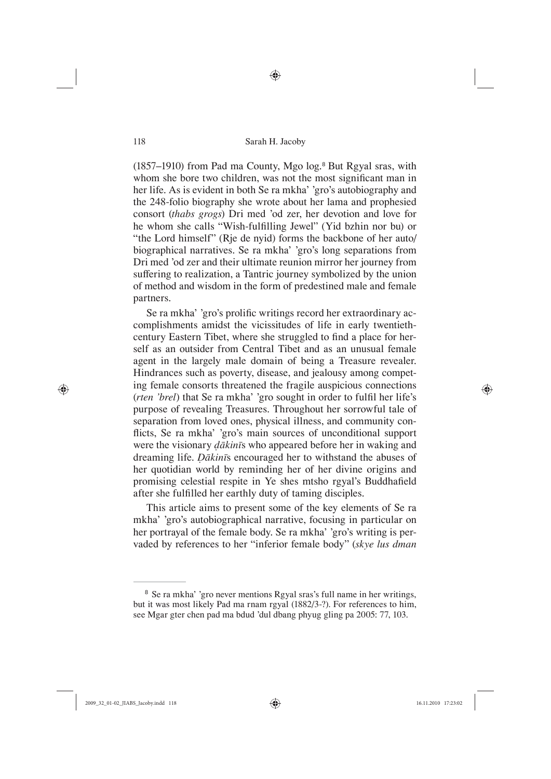◈

 $(1857–1910)$  from Pad ma County, Mgo  $log<sup>s</sup>$  But Rgyal sras, with whom she bore two children, was not the most significant man in her life. As is evident in both Se ra mkha' 'gro's autobiography and the 248-folio biography she wrote about her lama and prophesied consort (*thabs grogs*) Dri med 'od zer, her devotion and love for he whom she calls "Wish-fulfilling Jewel" (Yid bzhin nor bu) or "the Lord himself" (Rje de nyid) forms the backbone of her auto/ biographical narratives. Se ra mkha' 'gro's long separations from Dri med 'od zer and their ultimate reunion mirror her journey from suffering to realization, a Tantric journey symbolized by the union of method and wisdom in the form of predestined male and female partners.

Se ra mkha' 'gro's prolific writings record her extraordinary accomplishments amidst the vicissitudes of life in early twentiethcentury Eastern Tibet, where she struggled to find a place for herself as an outsider from Central Tibet and as an unusual female agent in the largely male domain of being a Treasure revealer. Hindrances such as poverty, disease, and jealousy among competing female consorts threatened the fragile auspicious connections (*rten 'brel*) that Se ra mkha' 'gro sought in order to fulfil her life's purpose of revealing Treasures. Throughout her sorrowful tale of separation from loved ones, physical illness, and community conflicts, Se ra mkha' 'gro's main sources of unconditional support were the visionary *ḍākinī*s who appeared before her in waking and dreaming life. *Ḍākinī*s encouraged her to withstand the abuses of her quotidian world by reminding her of her divine origins and promising celestial respite in Ye shes mtsho rgyal's Buddhafield after she fulfilled her earthly duty of taming disciples.

This article aims to present some of the key elements of Se ra mkha' 'gro's autobiographical narrative, focusing in particular on her portrayal of the female body. Se ra mkha' 'gro's writing is pervaded by references to her "inferior female body" (*skye lus dman* 

⊕

<sup>&</sup>lt;sup>8</sup> Se ra mkha' 'gro never mentions Rgyal sras's full name in her writings, but it was most likely Pad ma rnam rgyal (1882/3-?). For references to him, see Mgar gter chen pad ma bdud 'dul dbang phyug gling pa 2005: 77, 103.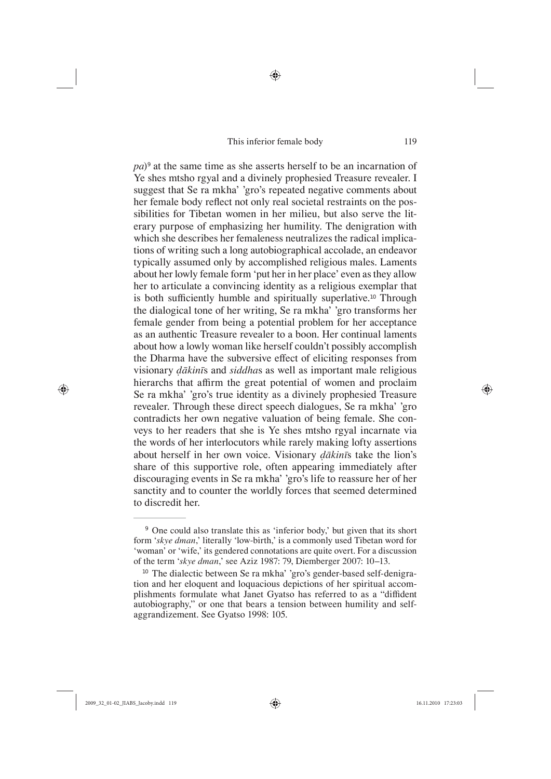◈

 $pa$ <sup> $9$ </sup> at the same time as she asserts herself to be an incarnation of Ye shes mtsho rgyal and a divinely prophesied Treasure revealer. I suggest that Se ra mkha' 'gro's repeated negative comments about her female body reflect not only real societal restraints on the possibilities for Tibetan women in her milieu, but also serve the literary purpose of emphasizing her humility. The denigration with which she describes her femaleness neutralizes the radical implications of writing such a long autobiographical accolade, an endeavor typically assumed only by accomplished religious males. Laments about her lowly female form 'put her in her place' even as they allow her to articulate a convincing identity as a religious exemplar that is both sufficiently humble and spiritually superlative.<sup>10</sup> Through the dialogical tone of her writing, Se ra mkha' 'gro transforms her female gender from being a potential problem for her acceptance as an authentic Treasure revealer to a boon. Her continual laments about how a lowly woman like herself couldn't possibly accomplish the Dharma have the subversive effect of eliciting responses from visionary *ḍākinī*s and *siddha*s as well as important male religious hierarchs that affirm the great potential of women and proclaim Se ra mkha' 'gro's true identity as a divinely prophesied Treasure revealer. Through these direct speech dialogues, Se ra mkha' 'gro contradicts her own negative valuation of being female. She conveys to her readers that she is Ye shes mtsho rgyal incarnate via the words of her interlocutors while rarely making lofty assertions about herself in her own voice. Visionary *ḍākinī*s take the lion's share of this supportive role, often appearing immediately after discouraging events in Se ra mkha' 'gro's life to reassure her of her sanctity and to counter the worldly forces that seemed determined to discredit her.

<sup>9</sup> One could also translate this as 'inferior body,' but given that its short form '*skye dman*,' literally 'low-birth,' is a commonly used Tibetan word for 'woman' or 'wife,' its gendered connotations are quite overt. For a discussion of the term '*skye dman*,' see Aziz 1987: 79, Diemberger 2007: 10–13.

<sup>&</sup>lt;sup>10</sup> The dialectic between Se ra mkha' 'gro's gender-based self-denigration and her eloquent and loquacious depictions of her spiritual accomplishments formulate what Janet Gyatso has referred to as a "diffident autobiography," or one that bears a tension between humility and selfaggrandizement. See Gyatso 1998: 105.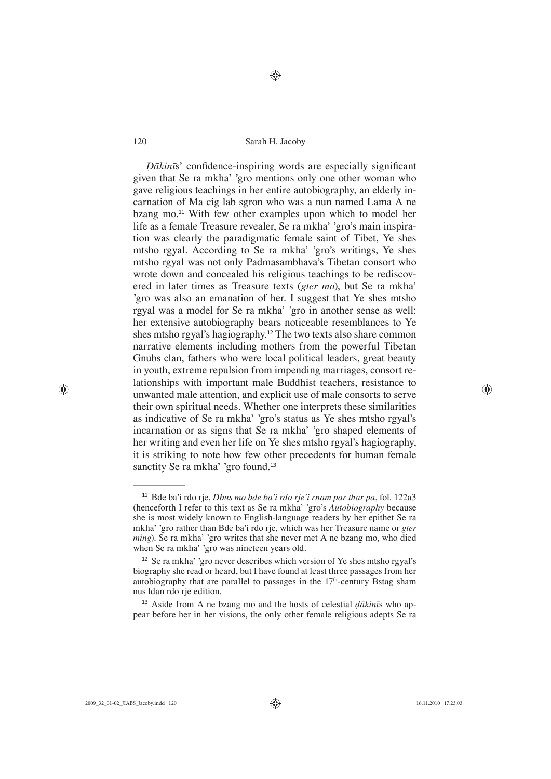◈

*Dākinīs*' confidence-inspiring words are especially significant given that Se ra mkha' 'gro mentions only one other woman who gave religious teachings in her entire autobiography, an elderly incarnation of Ma cig lab sgron who was a nun named Lama A ne bzang mo.11 With few other examples upon which to model her life as a female Treasure revealer, Se ra mkha' 'gro's main inspiration was clearly the paradigmatic female saint of Tibet, Ye shes mtsho rgyal. According to Se ra mkha' 'gro's writings, Ye shes mtsho rgyal was not only Padmasambhava's Tibetan consort who wrote down and concealed his religious teachings to be rediscovered in later times as Treasure texts (*gter ma*), but Se ra mkha' 'gro was also an emanation of her. I suggest that Ye shes mtsho rgyal was a model for Se ra mkha' 'gro in another sense as well: her extensive autobiography bears noticeable resemblances to Ye shes mtsho rgyal's hagiography.12 The two texts also share common narrative elements including mothers from the powerful Tibetan Gnubs clan, fathers who were local political leaders, great beauty in youth, extreme repulsion from impending marriages, consort relationships with important male Buddhist teachers, resistance to unwanted male attention, and explicit use of male consorts to serve their own spiritual needs. Whether one interprets these similarities as indicative of Se ra mkha' 'gro's status as Ye shes mtsho rgyal's incarnation or as signs that Se ra mkha' 'gro shaped elements of her writing and even her life on Ye shes mtsho rgyal's hagiography, it is striking to note how few other precedents for human female sanctity Se ra mkha' 'gro found.<sup>13</sup>

⊕

<sup>11</sup> Bde ba'i rdo rje, *Dbus mo bde ba'i rdo rje'i rnam par thar pa*, fol. 122a3 (henceforth I refer to this text as Se ra mkha' 'gro's *Autobiography* because she is most widely known to English-language readers by her epithet Se ra mkha' 'gro rather than Bde ba'i rdo rje, which was her Treasure name or *gter ming*). Se ra mkha' 'gro writes that she never met A ne bzang mo, who died when Se ra mkha' 'gro was nineteen years old.

<sup>&</sup>lt;sup>12</sup> Se ra mkha' 'gro never describes which version of Ye shes mtsho rgyal's biography she read or heard, but I have found at least three passages from her autobiography that are parallel to passages in the  $17<sup>th</sup>$ -century Bstag sham nus ldan rdo rje edition.

<sup>&</sup>lt;sup>13</sup> Aside from A ne bzang mo and the hosts of celestial  $d\bar{a}$ *kin* $\bar{a}$ s who appear before her in her visions, the only other female religious adepts Se ra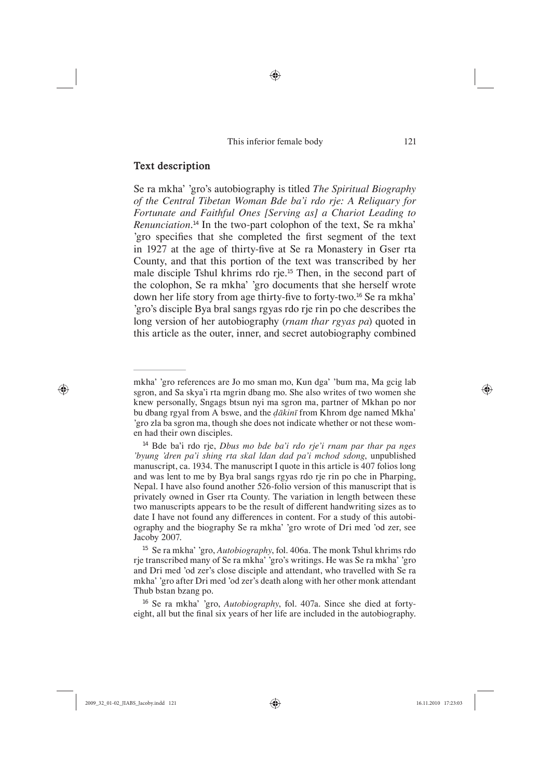# **Text description**

Se ra mkha' 'gro's autobiography is titled *The Spiritual Biography of the Central Tibetan Woman Bde ba'i rdo rje: A Reliquary for Fortunate and Faithful Ones [Serving as] a Chariot Leading to Renunciation*. <sup>14</sup> In the two-part colophon of the text, Se ra mkha' 'gro specifies that she completed the first segment of the text in 1927 at the age of thirty-five at Se ra Monastery in Gser rta County, and that this portion of the text was transcribed by her male disciple Tshul khrims rdo rje.15 Then, in the second part of the colophon, Se ra mkha' 'gro documents that she herself wrote down her life story from age thirty-five to forty-two.<sup>16</sup> Se ra mkha' 'gro's disciple Bya bral sangs rgyas rdo rje rin po che describes the long version of her autobiography (*rnam thar rgyas pa*) quoted in this article as the outer, inner, and secret autobiography combined

⊕

mkha' 'gro references are Jo mo sman mo, Kun dga' 'bum ma, Ma gcig lab sgron, and Sa skya'i rta mgrin dbang mo. She also writes of two women she knew personally, Sngags btsun nyi ma sgron ma, partner of Mkhan po nor bu dbang rgyal from A bswe, and the *ḍākinī* from Khrom dge named Mkha' 'gro zla ba sgron ma, though she does not indicate whether or not these women had their own disciples.

<sup>14</sup> Bde ba'i rdo rje, *Dbus mo bde ba'i rdo rje'i rnam par thar pa nges 'byung 'dren pa'i shing rta skal ldan dad pa'i mchod sdong*, unpublished manuscript, ca. 1934. The manuscript I quote in this article is 407 folios long and was lent to me by Bya bral sangs rgyas rdo rje rin po che in Pharping, Nepal. I have also found another 526-folio version of this manuscript that is privately owned in Gser rta County. The variation in length between these two manuscripts appears to be the result of different handwriting sizes as to date I have not found any differences in content. For a study of this autobiography and the biography Se ra mkha' 'gro wrote of Dri med 'od zer, see Jacoby 2007.

<sup>15</sup> Se ra mkha' 'gro, *Autobiography*, fol. 406a. The monk Tshul khrims rdo rje transcribed many of Se ra mkha' 'gro's writings. He was Se ra mkha' 'gro and Dri med 'od zer's close disciple and attendant, who travelled with Se ra mkha' 'gro after Dri med 'od zer's death along with her other monk attendant Thub bstan bzang po.

<sup>16</sup> Se ra mkha' 'gro, *Autobiography*, fol. 407a. Since she died at fortyeight, all but the final six years of her life are included in the autobiography.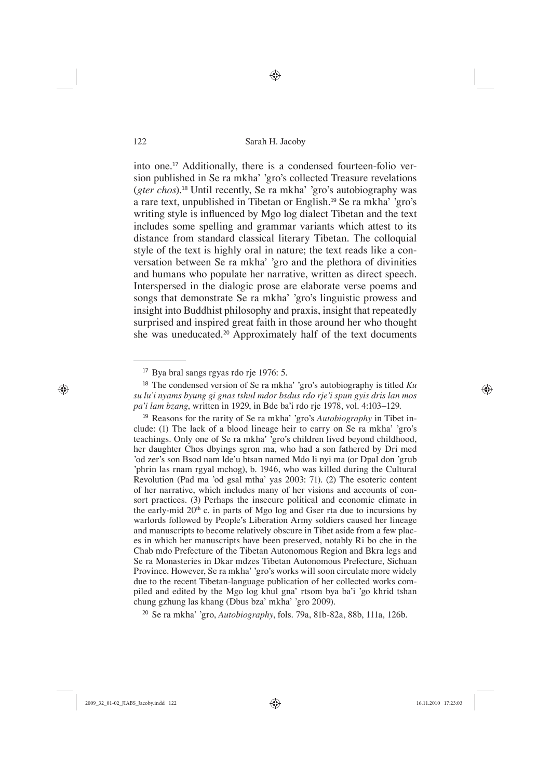♠

into one.<sup>17</sup> Additionally, there is a condensed fourteen-folio version published in Se ra mkha' 'gro's collected Treasure revelations (*gter chos*).18 Until recently, Se ra mkha' 'gro's autobiography was a rare text, unpublished in Tibetan or English.19 Se ra mkha' 'gro's writing style is influenced by Mgo log dialect Tibetan and the text includes some spelling and grammar variants which attest to its distance from standard classical literary Tibetan. The colloquial style of the text is highly oral in nature; the text reads like a conversation between Se ra mkha' 'gro and the plethora of divinities and humans who populate her narrative, written as direct speech. Interspersed in the dialogic prose are elaborate verse poems and songs that demonstrate Se ra mkha' 'gro's linguistic prowess and insight into Buddhist philosophy and praxis, insight that repeatedly surprised and inspired great faith in those around her who thought she was uneducated.<sup>20</sup> Approximately half of the text documents

<sup>19</sup> Reasons for the rarity of Se ra mkha' 'gro's *Autobiography* in Tibet include: (1) The lack of a blood lineage heir to carry on Se ra mkha' 'gro's teachings. Only one of Se ra mkha' 'gro's children lived beyond childhood, her daughter Chos dbyings sgron ma, who had a son fathered by Dri med 'od zer's son Bsod nam lde'u btsan named Mdo li nyi ma (or Dpal don 'grub 'phrin las rnam rgyal mchog), b. 1946, who was killed during the Cultural Revolution (Pad ma 'od gsal mtha' yas 2003: 71). (2) The esoteric content of her narrative, which includes many of her visions and accounts of consort practices. (3) Perhaps the insecure political and economic climate in the early-mid 20<sup>th</sup> c. in parts of Mgo log and Gser rta due to incursions by warlords followed by People's Liberation Army soldiers caused her lineage and manuscripts to become relatively obscure in Tibet aside from a few places in which her manuscripts have been preserved, notably Ri bo che in the Chab mdo Prefecture of the Tibetan Autonomous Region and Bkra legs and Se ra Monasteries in Dkar mdzes Tibetan Autonomous Prefecture, Sichuan Province. However, Se ra mkha' 'gro's works will soon circulate more widely due to the recent Tibetan-language publication of her collected works compiled and edited by the Mgo log khul gna' rtsom bya ba'i 'go khrid tshan chung gzhung las khang (Dbus bza' mkha' 'gro 2009).

<sup>20</sup> Se ra mkha' 'gro, *Autobiography*, fols. 79a, 81b-82a, 88b, 111a, 126b.

⊕

<sup>17</sup> Bya bral sangs rgyas rdo rje 1976: 5.

<sup>18</sup> The condensed version of Se ra mkha' 'gro's autobiography is titled *Ku su lu'i nyams byung gi gnas tshul mdor bsdus rdo rje'i spun gyis dris lan mos pa'i lam bzang*, written in 1929, in Bde ba'i rdo rje 1978, vol. 4:103–129.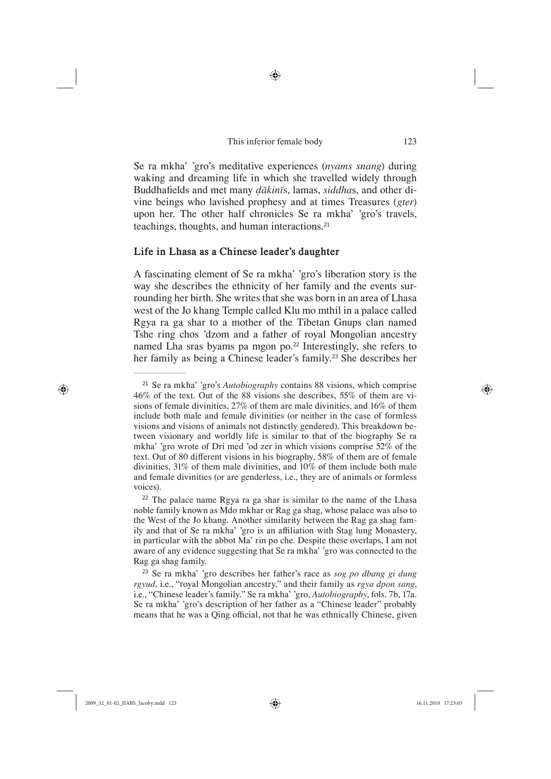♠

Se ra mkha' 'gro's meditative experiences (*nyams snang*) during waking and dreaming life in which she travelled widely through Buddhafi elds and met many *ḍākinī*s, lamas, *siddha*s, and other divine beings who lavished prophesy and at times Treasures (*gter*) upon her. The other half chronicles Se ra mkha' 'gro's travels, teachings, thoughts, and human interactions.<sup>21</sup>

### **Life in Lhasa as a Chinese leader's daughter**

A fascinating element of Se ra mkha' 'gro's liberation story is the way she describes the ethnicity of her family and the events surrounding her birth. She writes that she was born in an area of Lhasa west of the Jo khang Temple called Klu mo mthil in a palace called Rgya ra ga shar to a mother of the Tibetan Gnups clan named Tshe ring chos 'dzom and a father of royal Mongolian ancestry named Lha sras byams pa mgon po.<sup>22</sup> Interestingly, she refers to her family as being a Chinese leader's family.<sup>23</sup> She describes her

⊕

<sup>21</sup> Se ra mkha' 'gro's *Autobiography* contains 88 visions, which comprise 46% of the text. Out of the 88 visions she describes, 55% of them are visions of female divinities, 27% of them are male divinities, and 16% of them include both male and female divinities (or neither in the case of formless visions and visions of animals not distinctly gendered). This breakdown between visionary and worldly life is similar to that of the biography Se ra mkha' 'gro wrote of Dri med 'od zer in which visions comprise 52% of the text. Out of 80 different visions in his biography, 58% of them are of female divinities, 31% of them male divinities, and 10% of them include both male and female divinities (or are genderless, i.e., they are of animals or formless voices).

<sup>&</sup>lt;sup>22</sup> The palace name Rgya ra ga shar is similar to the name of the Lhasa noble family known as Mdo mkhar or Rag ga shag, whose palace was also to the West of the Jo khang. Another similarity between the Rag ga shag family and that of Se ra mkha' 'gro is an affiliation with Stag lung Monastery, in particular with the abbot Ma' rin po che. Despite these overlaps, I am not aware of any evidence suggesting that Se ra mkha' 'gro was connected to the Rag ga shag family.

<sup>23</sup> Se ra mkha' 'gro describes her father's race as *sog po dbang gi dung rgyud*, i.e., "royal Mongolian ancestry," and their family as *rgya dpon sang*, i.e., "Chinese leader's family." Se ra mkha' 'gro, *Autobiography*, fols. 7b, 17a. Se ra mkha' 'gro's description of her father as a "Chinese leader" probably means that he was a Qing official, not that he was ethnically Chinese, given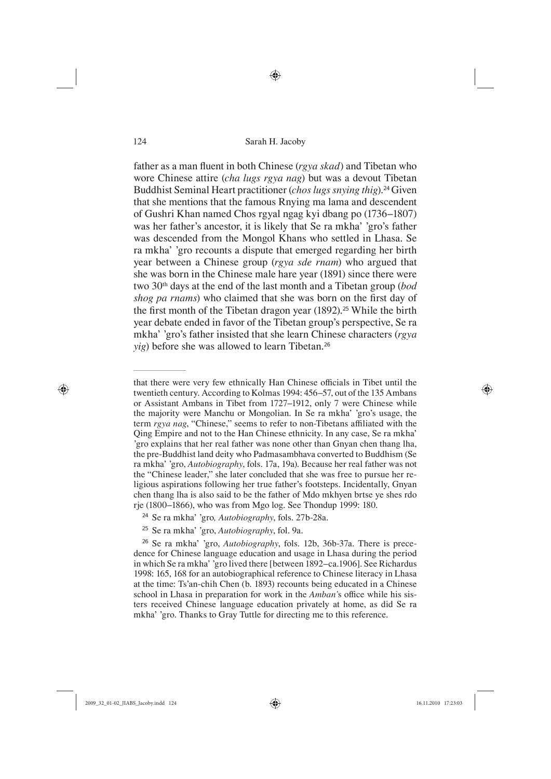father as a man fluent in both Chinese (*rgya skad*) and Tibetan who wore Chinese attire (*cha lugs rgya nag*) but was a devout Tibetan Buddhist Seminal Heart practitioner (*chos lugs snying thig*).24 Given that she mentions that the famous Rnying ma lama and descendent of Gushri Khan named Chos rgyal ngag kyi dbang po (1736–1807) was her father's ancestor, it is likely that Se ra mkha' 'gro's father was descended from the Mongol Khans who settled in Lhasa. Se ra mkha' 'gro recounts a dispute that emerged regarding her birth year between a Chinese group (*rgya sde rnam*) who argued that she was born in the Chinese male hare year (1891) since there were two 30th days at the end of the last month and a Tibetan group (*bod shog pa rnams*) who claimed that she was born on the first day of the first month of the Tibetan dragon year  $(1892)$ <sup>25</sup> While the birth year debate ended in favor of the Tibetan group's perspective, Se ra mkha' 'gro's father insisted that she learn Chinese characters (*rgya yig*) before she was allowed to learn Tibetan.<sup>26</sup>

that there were very few ethnically Han Chinese officials in Tibet until the twentieth century. According to Kolmas 1994: 456–57, out of the 135 Ambans or Assistant Ambans in Tibet from 1727–1912, only 7 were Chinese while the majority were Manchu or Mongolian. In Se ra mkha' 'gro's usage, the term *rgya nag*, "Chinese," seems to refer to non-Tibetans affiliated with the Qing Empire and not to the Han Chinese ethnicity. In any case, Se ra mkha' 'gro explains that her real father was none other than Gnyan chen thang lha, the pre-Buddhist land deity who Padmasambhava converted to Buddhism (Se ra mkha' 'gro, *Autobiography*, fols. 17a, 19a). Because her real father was not the "Chinese leader," she later concluded that she was free to pursue her religious aspirations following her true father's footsteps. Incidentally, Gnyan chen thang lha is also said to be the father of Mdo mkhyen brtse ye shes rdo rje (1800–1866), who was from Mgo log. See Thondup 1999: 180.

- <sup>24</sup> Se ra mkha' 'gro*, Autobiography*, fols. 27b-28a.
- <sup>25</sup> Se ra mkha' 'gro, *Autobiography*, fol. 9a.

<sup>26</sup> Se ra mkha' 'gro, *Autobiography*, fols. 12b, 36b-37a. There is precedence for Chinese language education and usage in Lhasa during the period in which Se ra mkha' 'gro lived there [between 1892–ca.1906]. See Richardus 1998: 165, 168 for an autobiographical reference to Chinese literacy in Lhasa at the time: Ts'an-chih Chen (b. 1893) recounts being educated in a Chinese school in Lhasa in preparation for work in the *Amban's* office while his sisters received Chinese language education privately at home, as did Se ra mkha' 'gro. Thanks to Gray Tuttle for directing me to this reference.

⊕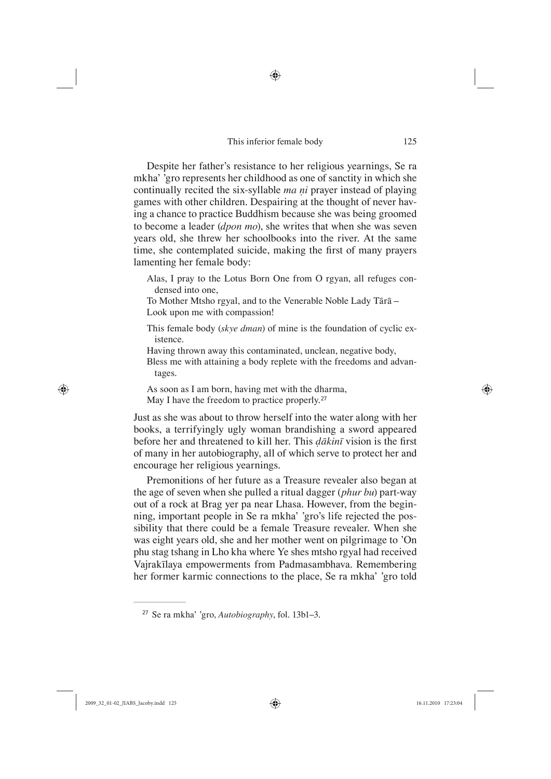◈

Despite her father's resistance to her religious yearnings, Se ra mkha' 'gro represents her childhood as one of sanctity in which she continually recited the six-syllable *ma ṇi* prayer instead of playing games with other children. Despairing at the thought of never having a chance to practice Buddhism because she was being groomed to become a leader (*dpon mo*), she writes that when she was seven years old, she threw her schoolbooks into the river. At the same time, she contemplated suicide, making the first of many prayers lamenting her female body:

Alas, I pray to the Lotus Born One from O rgyan, all refuges condensed into one,

To Mother Mtsho rgyal, and to the Venerable Noble Lady Tārā – Look upon me with compassion!

- This female body (*skye dman*) of mine is the foundation of cyclic existence.
- Having thrown away this contaminated, unclean, negative body,
- Bless me with attaining a body replete with the freedoms and advantages.

As soon as I am born, having met with the dharma, May I have the freedom to practice properly.<sup>27</sup>

Just as she was about to throw herself into the water along with her books, a terrifyingly ugly woman brandishing a sword appeared before her and threatened to kill her. This  $d\bar{a}$ *kinī* vision is the first of many in her autobiography, all of which serve to protect her and encourage her religious yearnings.

Premonitions of her future as a Treasure revealer also began at the age of seven when she pulled a ritual dagger (*phur bu*) part-way out of a rock at Brag yer pa near Lhasa. However, from the beginning, important people in Se ra mkha' 'gro's life rejected the possibility that there could be a female Treasure revealer. When she was eight years old, she and her mother went on pilgrimage to 'On phu stag tshang in Lho kha where Ye shes mtsho rgyal had received Vajrakīlaya empowerments from Padmasambhava. Remembering her former karmic connections to the place, Se ra mkha' 'gro told

⊕

<sup>27</sup> Se ra mkha' 'gro, *Autobiography*, fol. 13b1–3.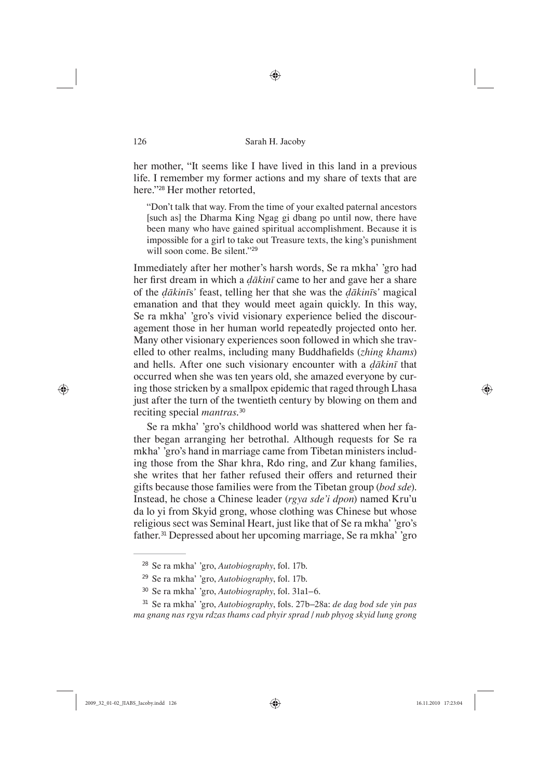her mother, "It seems like I have lived in this land in a previous life. I remember my former actions and my share of texts that are here."28 Her mother retorted,

"Don't talk that way. From the time of your exalted paternal ancestors [such as] the Dharma King Ngag gi dbang po until now, there have been many who have gained spiritual accomplishment. Because it is impossible for a girl to take out Treasure texts, the king's punishment will soon come. Be silent."<sup>29</sup>

Immediately after her mother's harsh words, Se ra mkha' 'gro had her first dream in which a *dākinī* came to her and gave her a share of the *ḍākinī*s*'* feast, telling her that she was the *ḍākinī*s*'* magical emanation and that they would meet again quickly. In this way, Se ra mkha' 'gro's vivid visionary experience belied the discouragement those in her human world repeatedly projected onto her. Many other visionary experiences soon followed in which she travelled to other realms, including many Buddhafields (*zhing khams*) and hells. After one such visionary encounter with a *ḍākinī* that occurred when she was ten years old, she amazed everyone by curing those stricken by a smallpox epidemic that raged through Lhasa just after the turn of the twentieth century by blowing on them and reciting special *mantras*. 30

Se ra mkha' 'gro's childhood world was shattered when her father began arranging her betrothal. Although requests for Se ra mkha' 'gro's hand in marriage came from Tibetan ministers including those from the Shar khra, Rdo ring, and Zur khang families, she writes that her father refused their offers and returned their gifts because those families were from the Tibetan group (*bod sde*). Instead, he chose a Chinese leader (*rgya sde'i dpon*) named Kru'u da lo yi from Skyid grong, whose clothing was Chinese but whose religious sect was Seminal Heart, just like that of Se ra mkha' 'gro's father.31 Depressed about her upcoming marriage, Se ra mkha' 'gro

⊕

<sup>28</sup> Se ra mkha' 'gro, *Autobiography*, fol. 17b.

<sup>29</sup> Se ra mkha' 'gro, *Autobiography*, fol. 17b.

<sup>30</sup> Se ra mkha' 'gro, *Autobiography*, fol. 31a1–6.

<sup>31</sup> Se ra mkha' 'gro, *Autobiography*, fols. 27b–28a: *de dag bod sde yin pas ma gnang nas rgyu rdzas thams cad phyir sprad* / *nub phyog skyid lung grong*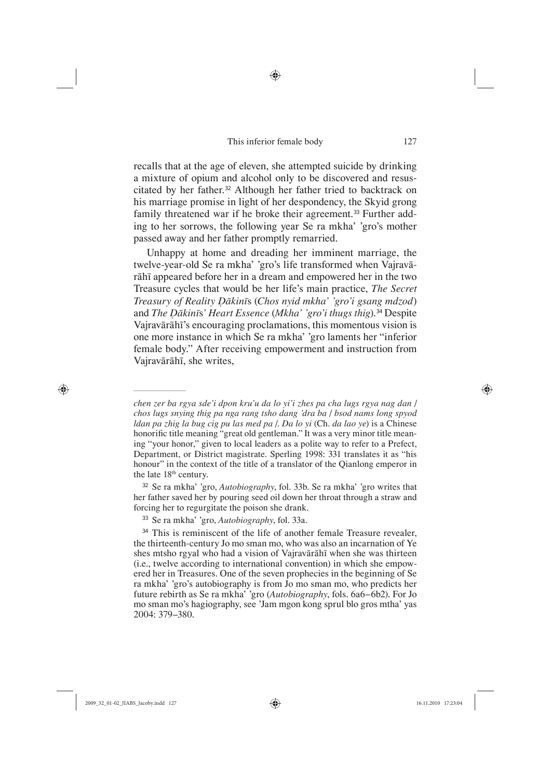recalls that at the age of eleven, she attempted suicide by drinking a mixture of opium and alcohol only to be discovered and resuscitated by her father.32 Although her father tried to backtrack on his marriage promise in light of her despondency, the Skyid grong family threatened war if he broke their agreement.<sup>33</sup> Further adding to her sorrows, the following year Se ra mkha' 'gro's mother passed away and her father promptly remarried.

Unhappy at home and dreading her imminent marriage, the twelve-year-old Se ra mkha' 'gro's life transformed when Vajravārāhī appeared before her in a dream and empowered her in the two Treasure cycles that would be her life's main practice, *The Secret Treasury of Reality Ḍākinī*s (*Chos nyid mkha' 'gro'i gsang mdzod*) and *The Ḍākinī*s*' Heart Essence* (*Mkha' 'gro'i thugs thig*).34 Despite Vajra vārāhī's encouraging proclamations, this momentous vision is one more instance in which Se ra mkha' 'gro laments her "inferior female body." After receiving empowerment and instruction from Vajravārāhī, she writes,

<sup>32</sup> Se ra mkha' 'gro, *Autobiography*, fol. 33b. Se ra mkha' 'gro writes that her father saved her by pouring seed oil down her throat through a straw and forcing her to regurgitate the poison she drank.

<sup>34</sup> This is reminiscent of the life of another female Treasure revealer, the thirteenth-century Jo mo sman mo, who was also an incarnation of Ye shes mtsho rgyal who had a vision of Vajravārāhī when she was thirteen (i.e., twelve according to international convention) in which she empowered her in Treasures. One of the seven prophecies in the beginning of Se ra mkha' 'gro's autobiography is from Jo mo sman mo, who predicts her future rebirth as Se ra mkha' 'gro (*Autobiography*, fols. 6a6–6b2). For Jo mo sman mo's hagiography, see 'Jam mgon kong sprul blo gros mtha' yas 2004: 379–380.

⊕

*chen zer ba rgya sde'i dpon kru'u da lo yi'i zhes pa cha lugs rgya nag dan* / *chos lugs snying thig pa nga rang tsho dang 'dra ba* / *bsod nams long spyod ldan pa zhig la bug cig pu las med pa* /. *Da lo yi* (Ch. *da lao ye*) is a Chinese honorific title meaning "great old gentleman." It was a very minor title meaning "your honor," given to local leaders as a polite way to refer to a Prefect, Department, or District magistrate. Sperling 1998: 331 translates it as "his honour" in the context of the title of a translator of the Qianlong emperor in the late 18<sup>th</sup> century.

<sup>33</sup> Se ra mkha' 'gro, *Autobiography*, fol. 33a.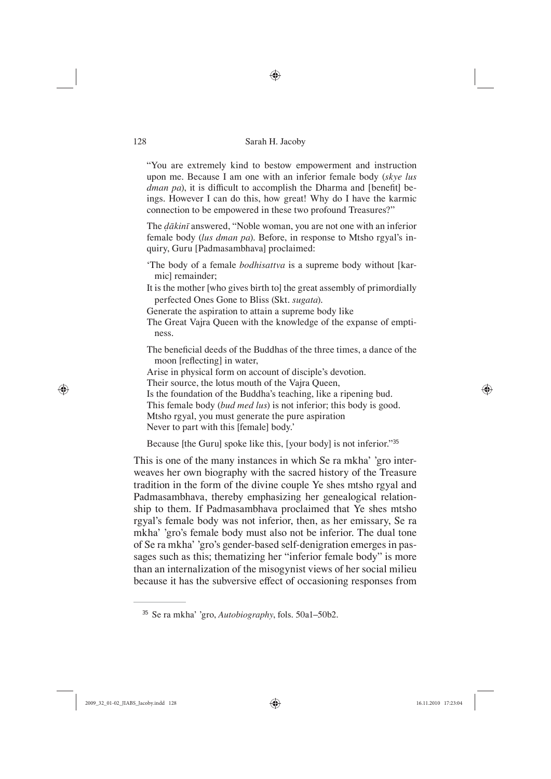◈

"You are extremely kind to bestow empowerment and instruction upon me. Because I am one with an inferior female body (*skye lus dman pa*), it is difficult to accomplish the Dharma and [benefit] beings. However I can do this, how great! Why do I have the karmic connection to be empowered in these two profound Treasures?"

The *ḍākinī* answered, "Noble woman, you are not one with an inferior female body (*lus dman pa*). Before, in response to Mtsho rgyal's inquiry, Guru [Padmasambhava] proclaimed:

- 'The body of a female *bodhisattva* is a supreme body without [karmic] remainder;
- It is the mother [who gives birth to] the great assembly of primordially perfected Ones Gone to Bliss (Skt. *sugata*).

Generate the aspiration to attain a supreme body like

- The Great Vajra Queen with the knowledge of the expanse of emptiness.
- The beneficial deeds of the Buddhas of the three times, a dance of the moon [reflecting] in water,

Arise in physical form on account of disciple's devotion.

Their source, the lotus mouth of the Vajra Queen,

Is the foundation of the Buddha's teaching, like a ripening bud. This female body (*bud med lus*) is not inferior; this body is good. Mtsho rgyal, you must generate the pure aspiration Never to part with this [female] body.'

Because [the Guru] spoke like this, [your body] is not inferior."<sup>35</sup>

This is one of the many instances in which Se ra mkha' 'gro interweaves her own biography with the sacred history of the Treasure tradition in the form of the divine couple Ye shes mtsho rgyal and Padmasambhava, thereby emphasizing her genealogical relationship to them. If Padmasambhava proclaimed that Ye shes mtsho rgyal's female body was not inferior, then, as her emissary, Se ra mkha' 'gro's female body must also not be inferior. The dual tone of Se ra mkha' 'gro's gender-based self-denigration emerges in passages such as this; thematizing her "inferior female body" is more than an internalization of the misogynist views of her social milieu because it has the subversive effect of occasioning responses from

⊕

<sup>35</sup> Se ra mkha' 'gro, *Autobiography*, fols. 50a1–50b2.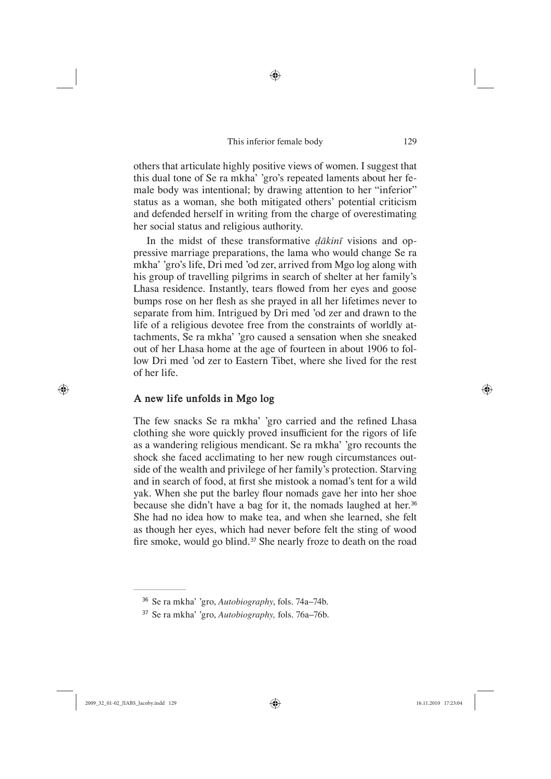◈

others that articulate highly positive views of women. I suggest that this dual tone of Se ra mkha' 'gro's repeated laments about her female body was intentional; by drawing attention to her "inferior" status as a woman, she both mitigated others' potential criticism and defended herself in writing from the charge of overestimating her social status and religious authority.

In the midst of these transformative *ḍākinī* visions and oppressive marriage preparations, the lama who would change Se ra mkha' 'gro's life, Dri med 'od zer, arrived from Mgo log along with his group of travelling pilgrims in search of shelter at her family's Lhasa residence. Instantly, tears flowed from her eyes and goose bumps rose on her flesh as she prayed in all her lifetimes never to separate from him. Intrigued by Dri med 'od zer and drawn to the life of a religious devotee free from the constraints of worldly attachments, Se ra mkha' 'gro caused a sensation when she sneaked out of her Lhasa home at the age of fourteen in about 1906 to follow Dri med 'od zer to Eastern Tibet, where she lived for the rest of her life.

## **A new life unfolds in Mgo log**

The few snacks Se ra mkha' 'gro carried and the refined Lhasa clothing she wore quickly proved insufficient for the rigors of life as a wandering religious mendicant. Se ra mkha' 'gro recounts the shock she faced acclimating to her new rough circumstances outside of the wealth and privilege of her family's protection. Starving and in search of food, at first she mistook a nomad's tent for a wild yak. When she put the barley flour nomads gave her into her shoe because she didn't have a bag for it, the nomads laughed at her.<sup>36</sup> She had no idea how to make tea, and when she learned, she felt as though her eyes, which had never before felt the sting of wood fire smoke, would go blind.<sup>37</sup> She nearly froze to death on the road

⊕

<sup>36</sup> Se ra mkha' 'gro, *Autobiography*, fols. 74a–74b.

<sup>37</sup> Se ra mkha' 'gro, *Autobiography,* fols. 76a–76b.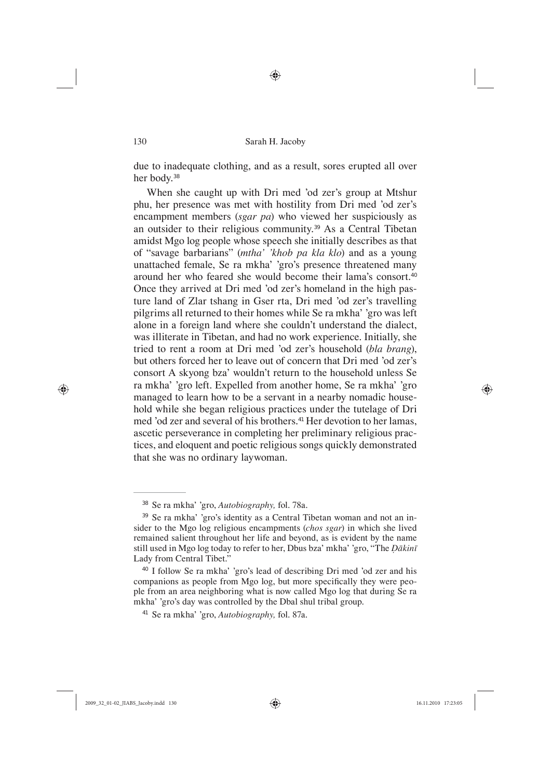◈

due to inadequate clothing, and as a result, sores erupted all over her body.<sup>38</sup>

When she caught up with Dri med 'od zer's group at Mtshur phu, her presence was met with hostility from Dri med 'od zer's encampment members (*sgar pa*) who viewed her suspiciously as an outsider to their religious community.39 As a Central Tibetan amidst Mgo log people whose speech she initially describes as that of "savage barbarians" (*mtha' 'khob pa kla klo*) and as a young unattached female, Se ra mkha' 'gro's presence threatened many around her who feared she would become their lama's consort.<sup>40</sup> Once they arrived at Dri med 'od zer's homeland in the high pasture land of Zlar tshang in Gser rta, Dri med 'od zer's travelling pilgrims all returned to their homes while Se ra mkha' 'gro was left alone in a foreign land where she couldn't understand the dialect, was illiterate in Tibetan, and had no work experience. Initially, she tried to rent a room at Dri med 'od zer's household (*bla brang*), but others forced her to leave out of concern that Dri med 'od zer's consort A skyong bza' wouldn't return to the household unless Se ra mkha' 'gro left. Expelled from another home, Se ra mkha' 'gro managed to learn how to be a servant in a nearby nomadic household while she began religious practices under the tutelage of Dri med 'od zer and several of his brothers.<sup>41</sup> Her devotion to her lamas, ascetic perseverance in completing her preliminary religious practices, and eloquent and poetic religious songs quickly demonstrated that she was no ordinary laywoman.

⊕

<sup>38</sup> Se ra mkha' 'gro, *Autobiography,* fol. 78a.

<sup>39</sup> Se ra mkha' 'gro's identity as a Central Tibetan woman and not an insider to the Mgo log religious encampments (*chos sgar*) in which she lived remained salient throughout her life and beyond, as is evident by the name still used in Mgo log today to refer to her, Dbus bza' mkha' 'gro, "The *Ḍākinī* Lady from Central Tibet."

<sup>40</sup> I follow Se ra mkha' 'gro's lead of describing Dri med 'od zer and his companions as people from Mgo log, but more specifically they were people from an area neighboring what is now called Mgo log that during Se ra mkha' 'gro's day was controlled by the Dbal shul tribal group.

<sup>41</sup> Se ra mkha' 'gro, *Autobiography,* fol. 87a.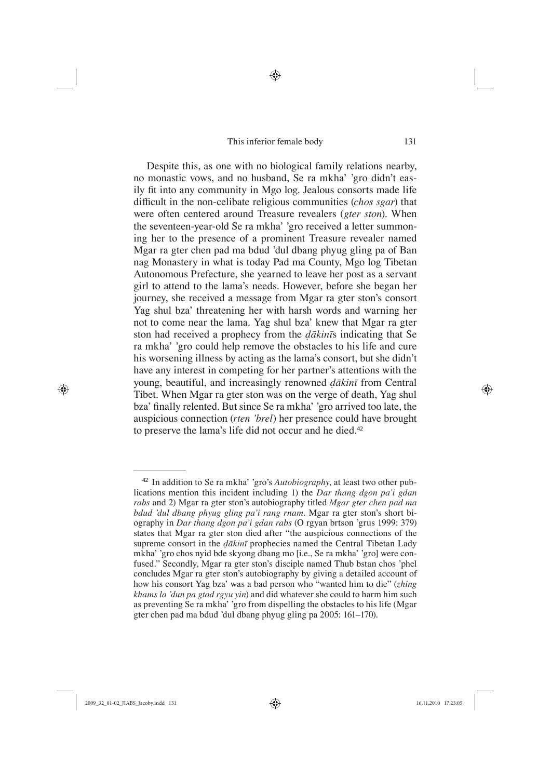♠

Despite this, as one with no biological family relations nearby, no monastic vows, and no husband, Se ra mkha' 'gro didn't easily fit into any community in Mgo log. Jealous consorts made life difficult in the non-celibate religious communities (*chos sgar*) that were often centered around Treasure revealers (*gter ston*). When the seventeen-year-old Se ra mkha' 'gro received a letter summoning her to the presence of a prominent Treasure revealer named Mgar ra gter chen pad ma bdud 'dul dbang phyug gling pa of Ban nag Monastery in what is today Pad ma County, Mgo log Tibetan Autonomous Prefecture, she yearned to leave her post as a servant girl to attend to the lama's needs. However, before she began her journey, she received a message from Mgar ra gter ston's consort Yag shul bza' threatening her with harsh words and warning her not to come near the lama. Yag shul bza' knew that Mgar ra gter ston had received a prophecy from the *ḍākinī*s indicating that Se ra mkha' 'gro could help remove the obstacles to his life and cure his worsening illness by acting as the lama's consort, but she didn't have any interest in competing for her partner's attentions with the young, beautiful, and increasingly renowned *ḍākinī* from Central Tibet. When Mgar ra gter ston was on the verge of death, Yag shul bza' finally relented. But since Se ra mkha' 'gro arrived too late, the auspicious connection (*rten 'brel*) her presence could have brought to preserve the lama's life did not occur and he died.<sup>42</sup>

⊕

<sup>42</sup> In addition to Se ra mkha' 'gro's *Autobiography*, at least two other publications mention this incident including 1) the *Dar thang dgon pa'i gdan rabs* and 2) Mgar ra gter ston's autobiography titled *Mgar gter chen pad ma bdud 'dul dbang phyug gling pa'i rang rnam*. Mgar ra gter ston's short biography in *Dar thang dgon pa'i gdan rabs* (O rgyan brtson 'grus 1999: 379) states that Mgar ra gter ston died after "the auspicious connections of the supreme consort in the *ḍākinī* prophecies named the Central Tibetan Lady mkha' 'gro chos nyid bde skyong dbang mo [i.e., Se ra mkha' 'gro] were confused." Secondly, Mgar ra gter ston's disciple named Thub bstan chos 'phel concludes Mgar ra gter ston's autobiography by giving a detailed account of how his consort Yag bza' was a bad person who "wanted him to die" (*zhing khams la 'dun pa gtod rgyu yin*) and did whatever she could to harm him such as preventing Se ra mkha' 'gro from dispelling the obstacles to his life (Mgar gter chen pad ma bdud 'dul dbang phyug gling pa 2005: 161–170).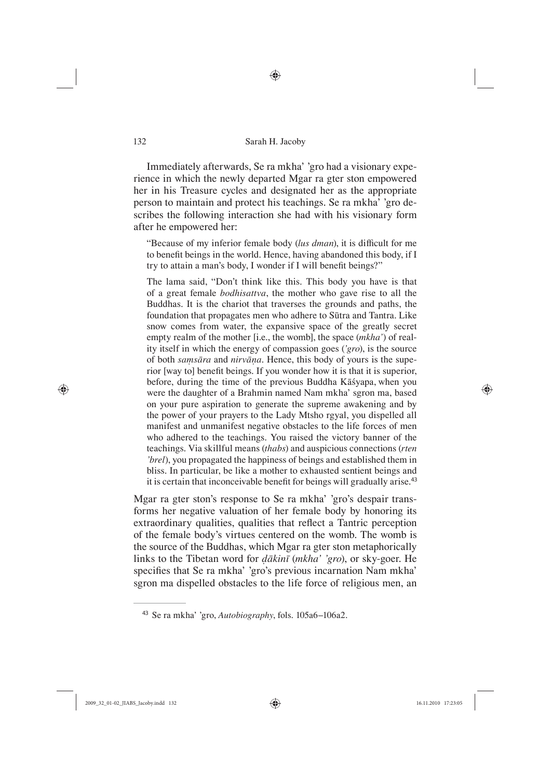Immediately afterwards, Se ra mkha' 'gro had a visionary experience in which the newly departed Mgar ra gter ston empowered her in his Treasure cycles and designated her as the appropriate person to maintain and protect his teachings. Se ra mkha' 'gro describes the following interaction she had with his visionary form after he empowered her:

"Because of my inferior female body *(lus dman)*, it is difficult for me to benefit beings in the world. Hence, having abandoned this body, if I try to attain a man's body, I wonder if I will benefit beings?"

The lama said, "Don't think like this. This body you have is that of a great female *bodhisattva*, the mother who gave rise to all the Buddhas. It is the chariot that traverses the grounds and paths, the foundation that propagates men who adhere to Sūtra and Tantra. Like snow comes from water, the expansive space of the greatly secret empty realm of the mother [i.e., the womb], the space (*mkha'*) of reality itself in which the energy of compassion goes (*'gro*), is the source of both *saṃsāra* and *nirvāṇa*. Hence, this body of yours is the superior [way to] benefit beings. If you wonder how it is that it is superior, before, during the time of the previous Buddha Kāśyapa, when you were the daughter of a Brahmin named Nam mkha' sgron ma, based on your pure aspiration to generate the supreme awakening and by the power of your prayers to the Lady Mtsho rgyal, you dispelled all manifest and unmanifest negative obstacles to the life forces of men who adhered to the teachings. You raised the victory banner of the teachings. Via skillful means (*thabs*) and auspicious connections (*rten 'brel*), you propagated the happiness of beings and established them in bliss. In particular, be like a mother to exhausted sentient beings and it is certain that inconceivable benefit for beings will gradually arise.<sup>43</sup>

Mgar ra gter ston's response to Se ra mkha' 'gro's despair transforms her negative valuation of her female body by honoring its extraordinary qualities, qualities that reflect a Tantric perception of the female body's virtues centered on the womb. The womb is the source of the Buddhas, which Mgar ra gter ston metaphorically links to the Tibetan word for *ḍākinī* (*mkha' 'gro*), or sky-goer. He specifies that Se ra mkha' 'gro's previous incarnation Nam mkha' sgron ma dispelled obstacles to the life force of religious men, an

 $\bigoplus$ 

<sup>43</sup> Se ra mkha' 'gro, *Autobiography*, fols. 105a6–106a2.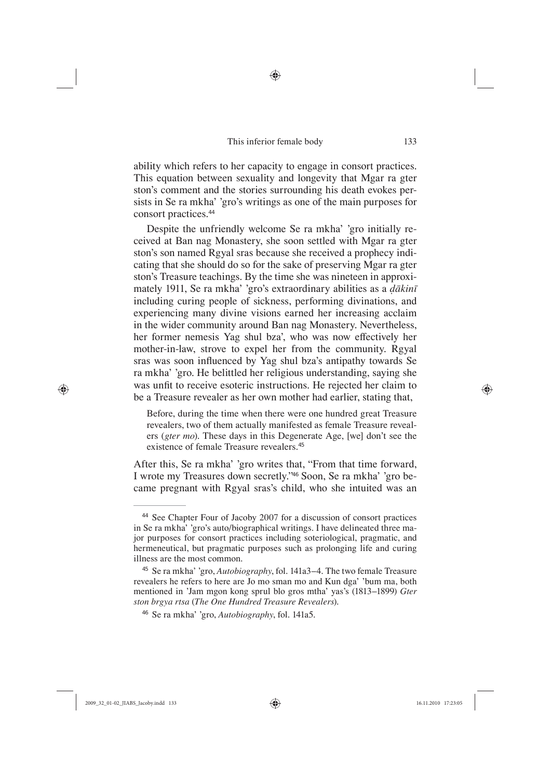ability which refers to her capacity to engage in consort practices. This equation between sexuality and longevity that Mgar ra gter ston's comment and the stories surrounding his death evokes persists in Se ra mkha' 'gro's writings as one of the main purposes for consort practices.<sup>44</sup>

Despite the unfriendly welcome Se ra mkha' 'gro initially received at Ban nag Monastery, she soon settled with Mgar ra gter ston's son named Rgyal sras because she received a prophecy indicating that she should do so for the sake of preserving Mgar ra gter ston's Treasure teachings. By the time she was nineteen in approximately 1911, Se ra mkha' 'gro's extraordinary abilities as a *ḍākinī* including curing people of sickness, performing divinations, and experiencing many divine visions earned her increasing acclaim in the wider community around Ban nag Monastery. Nevertheless, her former nemesis Yag shul bza', who was now effectively her mother-in-law, strove to expel her from the community. Rgyal sras was soon influenced by Yag shul bza's antipathy towards Se ra mkha' 'gro. He belittled her religious understanding, saying she was unfit to receive esoteric instructions. He rejected her claim to be a Treasure revealer as her own mother had earlier, stating that,

Before, during the time when there were one hundred great Treasure revealers, two of them actually manifested as female Treasure revealers (*gter mo*). These days in this Degenerate Age, [we] don't see the existence of female Treasure revealers.<sup>45</sup>

After this, Se ra mkha' 'gro writes that, "From that time forward, I wrote my Treasures down secretly."46 Soon, Se ra mkha' 'gro became pregnant with Rgyal sras's child, who she intuited was an

⊕

<sup>44</sup> See Chapter Four of Jacoby 2007 for a discussion of consort practices in Se ra mkha' 'gro's auto/biographical writings. I have delineated three major purposes for consort practices including soteriological, pragmatic, and hermeneutical, but pragmatic purposes such as prolonging life and curing illness are the most common.

<sup>45</sup> Se ra mkha' 'gro, *Autobiography*, fol. 141a3–4. The two female Treasure revealers he refers to here are Jo mo sman mo and Kun dga' 'bum ma, both mentioned in 'Jam mgon kong sprul blo gros mtha' yas's (1813–1899) *Gter ston brgya rtsa* (*The One Hundred Treasure Revealers*).

<sup>46</sup> Se ra mkha' 'gro, *Autobiography*, fol. 141a5.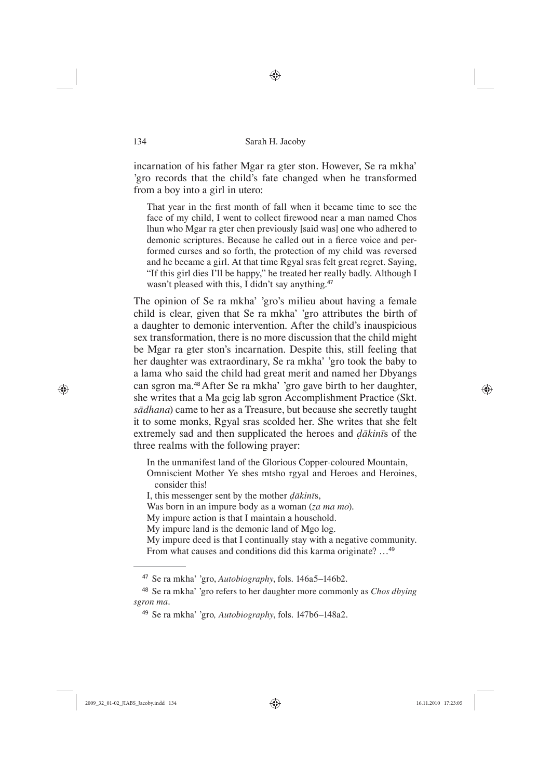incarnation of his father Mgar ra gter ston. However, Se ra mkha' 'gro records that the child's fate changed when he transformed from a boy into a girl in utero:

That year in the first month of fall when it became time to see the face of my child, I went to collect firewood near a man named Chos lhun who Mgar ra gter chen previously [said was] one who adhered to demonic scriptures. Because he called out in a fierce voice and performed curses and so forth, the protection of my child was reversed and he became a girl. At that time Rgyal sras felt great regret. Saying, "If this girl dies I'll be happy," he treated her really badly. Although I wasn't pleased with this, I didn't say anything.<sup>47</sup>

The opinion of Se ra mkha' 'gro's milieu about having a female child is clear, given that Se ra mkha' 'gro attributes the birth of a daughter to demonic intervention. After the child's inauspicious sex transformation, there is no more discussion that the child might be Mgar ra gter ston's incarnation. Despite this, still feeling that her daughter was extraordinary, Se ra mkha' 'gro took the baby to a lama who said the child had great merit and named her Dbyangs can sgron ma.<sup>48</sup> After Se ra mkha' 'gro gave birth to her daughter, she writes that a Ma gcig lab sgron Accomplishment Practice (Skt. *sādhana*) came to her as a Treasure, but because she secretly taught it to some monks, Rgyal sras scolded her. She writes that she felt extremely sad and then supplicated the heroes and *ḍākinī*s of the three realms with the following prayer:

In the unmanifest land of the Glorious Copper-coloured Mountain,

Omniscient Mother Ye shes mtsho rgyal and Heroes and Heroines, consider this!

I, this messenger sent by the mother *ḍākinī*s,

Was born in an impure body as a woman (*za ma mo*).

My impure action is that I maintain a household.

My impure land is the demonic land of Mgo log.

My impure deed is that I continually stay with a negative community. From what causes and conditions did this karma originate? …<sup>49</sup>

<sup>47</sup> Se ra mkha' 'gro, *Autobiography*, fols. 146a5–146b2.

⊕

<sup>48</sup> Se ra mkha' 'gro refers to her daughter more commonly as *Chos dbying sgron ma*.

<sup>49</sup> Se ra mkha' 'gro*, Autobiography*, fols. 147b6–148a2.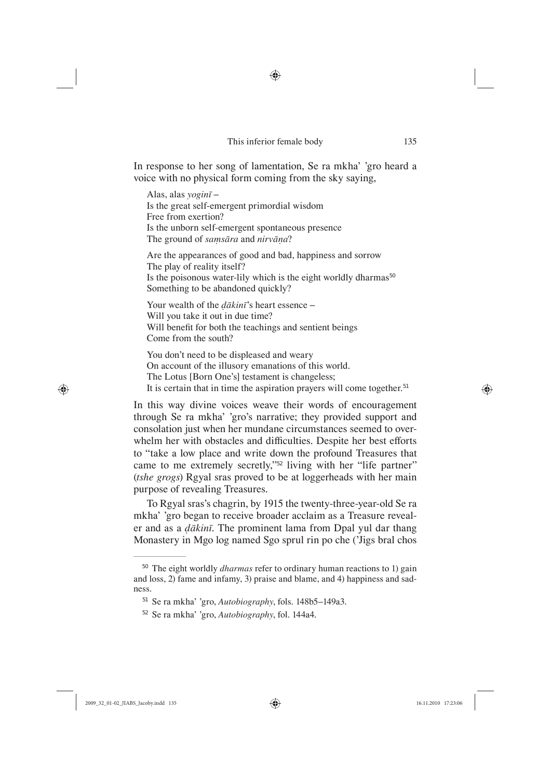◈

In response to her song of lamentation, Se ra mkha' 'gro heard a voice with no physical form coming from the sky saying,

Alas, alas *yoginī* – Is the great self-emergent primordial wisdom Free from exertion? Is the unborn self-emergent spontaneous presence The ground of *saṃsāra* and *nirvāṇa*?

Are the appearances of good and bad, happiness and sorrow The play of reality itself? Is the poisonous water-lily which is the eight worldly dharmas<sup>50</sup> Something to be abandoned quickly?

Your wealth of the *ḍākinī*'s heart essence – Will you take it out in due time? Will benefit for both the teachings and sentient beings Come from the south?

You don't need to be displeased and weary On account of the illusory emanations of this world. The Lotus [Born One's] testament is changeless; It is certain that in time the aspiration prayers will come together.<sup>51</sup>

In this way divine voices weave their words of encouragement through Se ra mkha' 'gro's narrative; they provided support and consolation just when her mundane circumstances seemed to overwhelm her with obstacles and difficulties. Despite her best efforts to "take a low place and write down the profound Treasures that came to me extremely secretly,"52 living with her "life partner" (*tshe grogs*) Rgyal sras proved to be at loggerheads with her main purpose of revealing Treasures.

To Rgyal sras's chagrin, by 1915 the twenty-three-year-old Se ra mkha' 'gro began to receive broader acclaim as a Treasure revealer and as a *ḍākinī*. The prominent lama from Dpal yul dar thang Monastery in Mgo log named Sgo sprul rin po che ('Jigs bral chos

 $\bigoplus$ 

<sup>50</sup> The eight worldly *dharmas* refer to ordinary human reactions to 1) gain and loss, 2) fame and infamy, 3) praise and blame, and 4) happiness and sadness.

<sup>51</sup> Se ra mkha' 'gro, *Autobiography*, fols. 148b5–149a3.

<sup>52</sup> Se ra mkha' 'gro, *Autobiography*, fol. 144a4.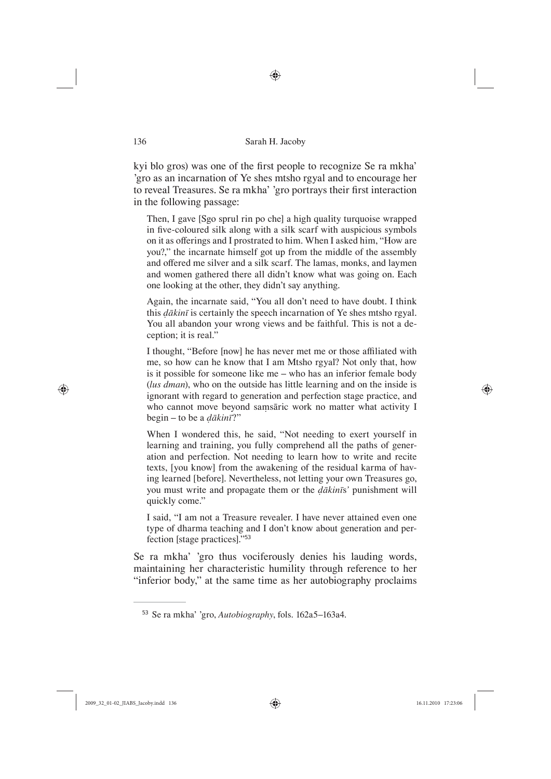◈

kyi blo gros) was one of the first people to recognize Se ra mkha' 'gro as an incarnation of Ye shes mtsho rgyal and to encourage her to reveal Treasures. Se ra mkha' 'gro portrays their first interaction in the following passage:

Then, I gave [Sgo sprul rin po che] a high quality turquoise wrapped in five-coloured silk along with a silk scarf with auspicious symbols on it as offerings and I prostrated to him. When I asked him, "How are you?," the incarnate himself got up from the middle of the assembly and offered me silver and a silk scarf. The lamas, monks, and laymen and women gathered there all didn't know what was going on. Each one looking at the other, they didn't say anything.

Again, the incarnate said, "You all don't need to have doubt. I think this *ḍākinī* is certainly the speech incarnation of Ye shes mtsho rgyal. You all abandon your wrong views and be faithful. This is not a deception; it is real."

I thought, "Before [now] he has never met me or those affiliated with me, so how can he know that I am Mtsho rgyal? Not only that, how is it possible for someone like me – who has an inferior female body (*lus dman*), who on the outside has little learning and on the inside is ignorant with regard to generation and perfection stage practice, and who cannot move beyond samsāric work no matter what activity I begin – to be a *ḍākinī*?"

When I wondered this, he said, "Not needing to exert yourself in learning and training, you fully comprehend all the paths of generation and perfection. Not needing to learn how to write and recite texts, [you know] from the awakening of the residual karma of having learned [before]. Nevertheless, not letting your own Treasures go, you must write and propagate them or the *ḍākinī*s*'* punishment will quickly come."

I said, "I am not a Treasure revealer. I have never attained even one type of dharma teaching and I don't know about generation and perfection [stage practices]."<sup>53</sup>

Se ra mkha' 'gro thus vociferously denies his lauding words, maintaining her characteristic humility through reference to her "inferior body," at the same time as her autobiography proclaims

⊕

<sup>53</sup> Se ra mkha' 'gro, *Autobiography*, fols. 162a5–163a4.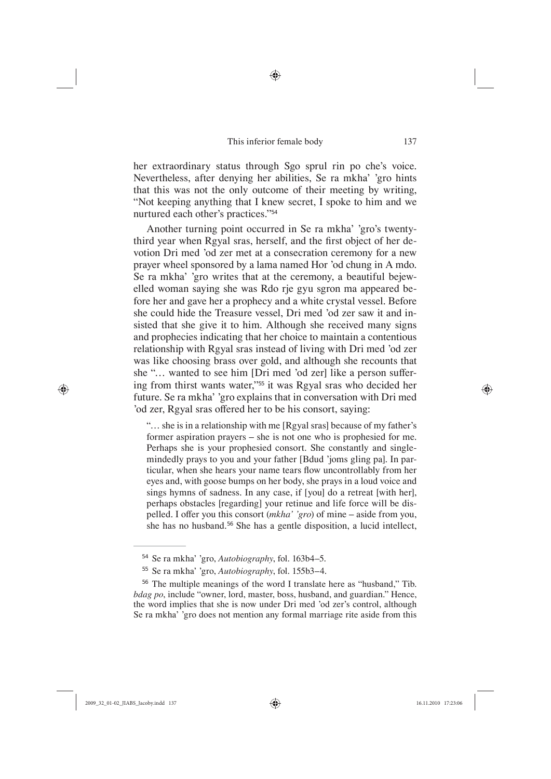♠

her extraordinary status through Sgo sprul rin po che's voice. Nevertheless, after denying her abilities, Se ra mkha' 'gro hints that this was not the only outcome of their meeting by writing, "Not keeping anything that I knew secret, I spoke to him and we nurtured each other's practices."<sup>54</sup>

Another turning point occurred in Se ra mkha' 'gro's twentythird year when Rgyal sras, herself, and the first object of her devotion Dri med 'od zer met at a consecration ceremony for a new prayer wheel sponsored by a lama named Hor 'od chung in A mdo. Se ra mkha' 'gro writes that at the ceremony, a beautiful bejewelled woman saying she was Rdo rje gyu sgron ma appeared before her and gave her a prophecy and a white crystal vessel. Before she could hide the Treasure vessel, Dri med 'od zer saw it and insisted that she give it to him. Although she received many signs and prophecies indicating that her choice to maintain a contentious relationship with Rgyal sras instead of living with Dri med 'od zer was like choosing brass over gold, and although she recounts that she "... wanted to see him [Dri med 'od zer] like a person suffering from thirst wants water,"55 it was Rgyal sras who decided her future. Se ra mkha' 'gro explains that in conversation with Dri med 'od zer, Rgyal sras offered her to be his consort, saying:

"… she is in a relationship with me [Rgyal sras] because of my father's former aspiration prayers – she is not one who is prophesied for me. Perhaps she is your prophesied consort. She constantly and singlemindedly prays to you and your father [Bdud 'joms gling pa]. In particular, when she hears your name tears flow uncontrollably from her eyes and, with goose bumps on her body, she prays in a loud voice and sings hymns of sadness. In any case, if [you] do a retreat [with her], perhaps obstacles [regarding] your retinue and life force will be dispelled. I offer you this consort (*mkha' 'gro*) of mine – aside from you, she has no husband.<sup>56</sup> She has a gentle disposition, a lucid intellect,

⊕

<sup>54</sup> Se ra mkha' 'gro, *Autobiography*, fol. 163b4–5.

<sup>55</sup> Se ra mkha' 'gro, *Autobiography*, fol. 155b3–4.

<sup>56</sup> The multiple meanings of the word I translate here as "husband," Tib. *bdag po*, include "owner, lord, master, boss, husband, and guardian." Hence, the word implies that she is now under Dri med 'od zer's control, although Se ra mkha' 'gro does not mention any formal marriage rite aside from this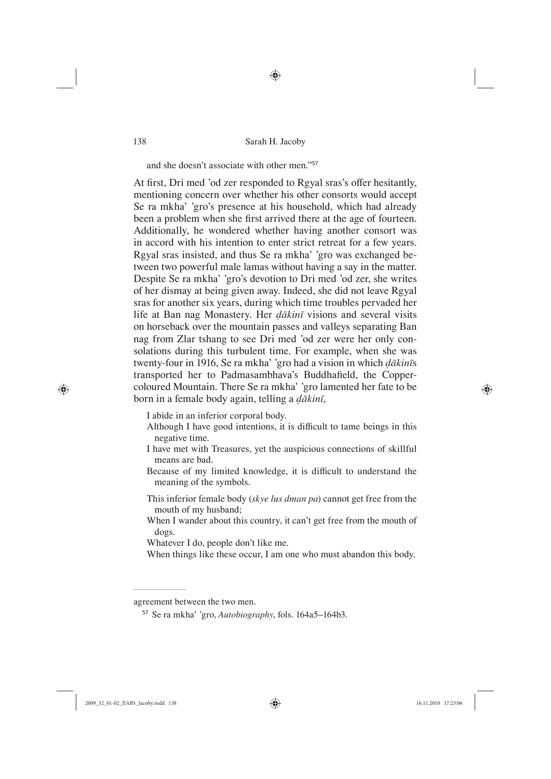◈

#### and she doesn't associate with other men."<sup>57</sup>

At first, Dri med 'od zer responded to Rgyal sras's offer hesitantly, mentioning concern over whether his other consorts would accept Se ra mkha' 'gro's presence at his household, which had already been a problem when she first arrived there at the age of fourteen. Additionally, he wondered whether having another consort was in accord with his intention to enter strict retreat for a few years. Rgyal sras insisted, and thus Se ra mkha' 'gro was exchanged between two powerful male lamas without having a say in the matter. Despite Se ra mkha' 'gro's devotion to Dri med 'od zer, she writes of her dismay at being given away. Indeed, she did not leave Rgyal sras for another six years, during which time troubles pervaded her life at Ban nag Monastery. Her *ḍākinī* visions and several visits on horseback over the mountain passes and valleys separating Ban nag from Zlar tshang to see Dri med 'od zer were her only consolations during this turbulent time. For example, when she was twenty-four in 1916, Se ra mkha' 'gro had a vision in which *ḍākinī*s transported her to Padmasambhava's Buddhafield, the Coppercoloured Mountain. There Se ra mkha' 'gro lamented her fate to be born in a female body again, telling a *ḍākinī*,

I abide in an inferior corporal body.

- Although I have good intentions, it is difficult to tame beings in this negative time.
- I have met with Treasures, yet the auspicious connections of skillful means are bad.
- Because of my limited knowledge, it is difficult to understand the meaning of the symbols.
- This inferior female body (*skye lus dman pa*) cannot get free from the mouth of my husband;
- When I wander about this country, it can't get free from the mouth of dogs.

Whatever I do, people don't like me.

When things like these occur, I am one who must abandon this body.

⊕

agreement between the two men.

<sup>57</sup> Se ra mkha' 'gro, *Autobiography*, fols. 164a5–164b3.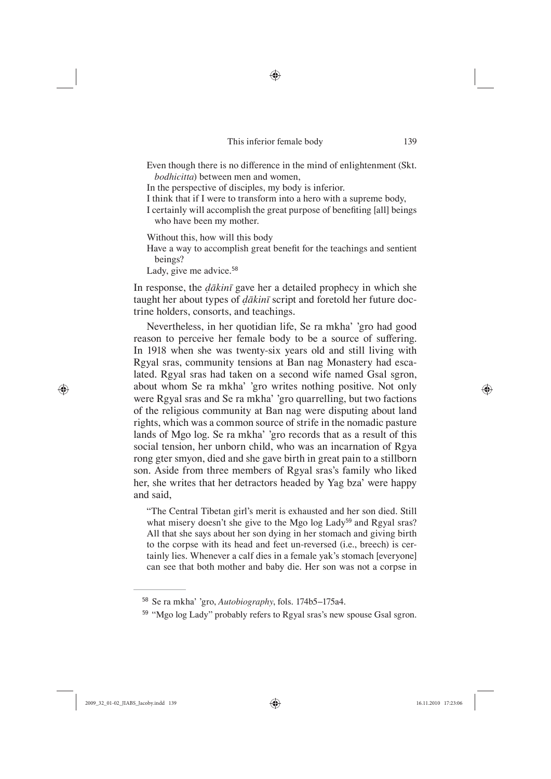◈

Even though there is no difference in the mind of enlightenment (Skt. *bodhicitta*) between men and women,

In the perspective of disciples, my body is inferior.

I think that if I were to transform into a hero with a supreme body,

I certainly will accomplish the great purpose of benefiting [all] beings who have been my mother.

Without this, how will this body

Have a way to accomplish great benefit for the teachings and sentient beings?

Lady, give me advice.<sup>58</sup>

In response, the *ḍākinī* gave her a detailed prophecy in which she taught her about types of *ḍākinī* script and foretold her future doctrine holders, consorts, and teachings.

Nevertheless, in her quotidian life, Se ra mkha' 'gro had good reason to perceive her female body to be a source of suffering. In 1918 when she was twenty-six years old and still living with Rgyal sras, community tensions at Ban nag Monastery had escalated. Rgyal sras had taken on a second wife named Gsal sgron, about whom Se ra mkha' 'gro writes nothing positive. Not only were Rgyal sras and Se ra mkha' 'gro quarrelling, but two factions of the religious community at Ban nag were disputing about land rights, which was a common source of strife in the nomadic pasture lands of Mgo log. Se ra mkha' 'gro records that as a result of this social tension, her unborn child, who was an incarnation of Rgya rong gter smyon, died and she gave birth in great pain to a stillborn son. Aside from three members of Rgyal sras's family who liked her, she writes that her detractors headed by Yag bza' were happy and said,

"The Central Tibetan girl's merit is exhausted and her son died. Still what misery doesn't she give to the Mgo log Lady<sup>59</sup> and Rgyal sras? All that she says about her son dying in her stomach and giving birth to the corpse with its head and feet un-reversed (i.e., breech) is certainly lies. Whenever a calf dies in a female yak's stomach [everyone] can see that both mother and baby die. Her son was not a corpse in

⊕

<sup>58</sup> Se ra mkha' 'gro, *Autobiography*, fols. 174b5–175a4.

<sup>59</sup> "Mgo log Lady" probably refers to Rgyal sras's new spouse Gsal sgron.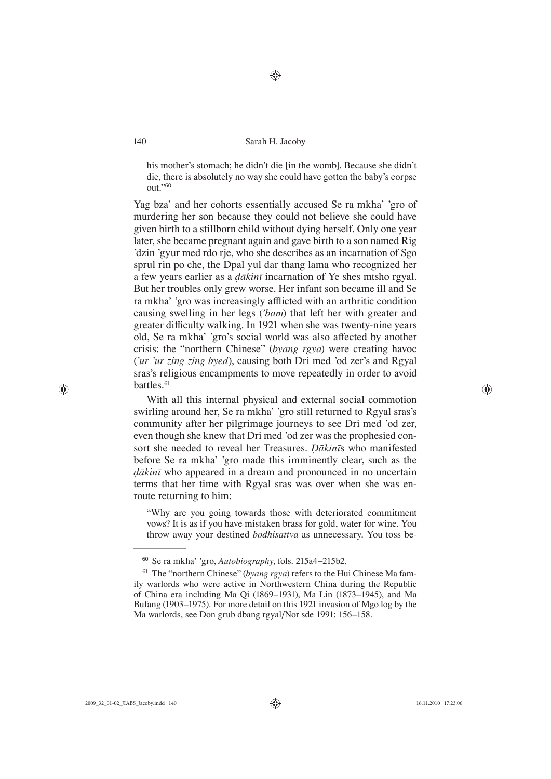◈

his mother's stomach; he didn't die [in the womb]. Because she didn't die, there is absolutely no way she could have gotten the baby's corpse out."<sup>60</sup>

Yag bza' and her cohorts essentially accused Se ra mkha' 'gro of murdering her son because they could not believe she could have given birth to a stillborn child without dying herself. Only one year later, she became pregnant again and gave birth to a son named Rig 'dzin 'gyur med rdo rje, who she describes as an incarnation of Sgo sprul rin po che, the Dpal yul dar thang lama who recognized her a few years earlier as a *ḍākinī* incarnation of Ye shes mtsho rgyal. But her troubles only grew worse. Her infant son became ill and Se ra mkha' 'gro was increasingly afflicted with an arthritic condition causing swelling in her legs (*'bam*) that left her with greater and greater difficulty walking. In 1921 when she was twenty-nine years old, Se ra mkha' 'gro's social world was also affected by another crisis: the "northern Chinese" (*byang rgya*) were creating havoc (*'ur 'ur zing zing byed*), causing both Dri med 'od zer's and Rgyal sras's religious encampments to move repeatedly in order to avoid battles.<sup>61</sup>

With all this internal physical and external social commotion swirling around her, Se ra mkha' 'gro still returned to Rgyal sras's community after her pilgrimage journeys to see Dri med 'od zer, even though she knew that Dri med 'od zer was the prophesied consort she needed to reveal her Treasures. *Ḍākinī*s who manifested before Se ra mkha' 'gro made this imminently clear, such as the *ḍākinī* who appeared in a dream and pronounced in no uncertain terms that her time with Rgyal sras was over when she was enroute returning to him:

"Why are you going towards those with deteriorated commitment vows? It is as if you have mistaken brass for gold, water for wine. You throw away your destined *bodhisattva* as unnecessary. You toss be-

 $\bigoplus$ 

<sup>60</sup> Se ra mkha' 'gro, *Autobiography*, fols. 215a4–215b2.

<sup>61</sup> The "northern Chinese" (*byang rgya*) refers to the Hui Chinese Ma family warlords who were active in Northwestern China during the Republic of China era including Ma Qi (1869–1931), Ma Lin (1873–1945), and Ma Bufang (1903–1975). For more detail on this 1921 invasion of Mgo log by the Ma warlords, see Don grub dbang rgyal/Nor sde 1991: 156–158.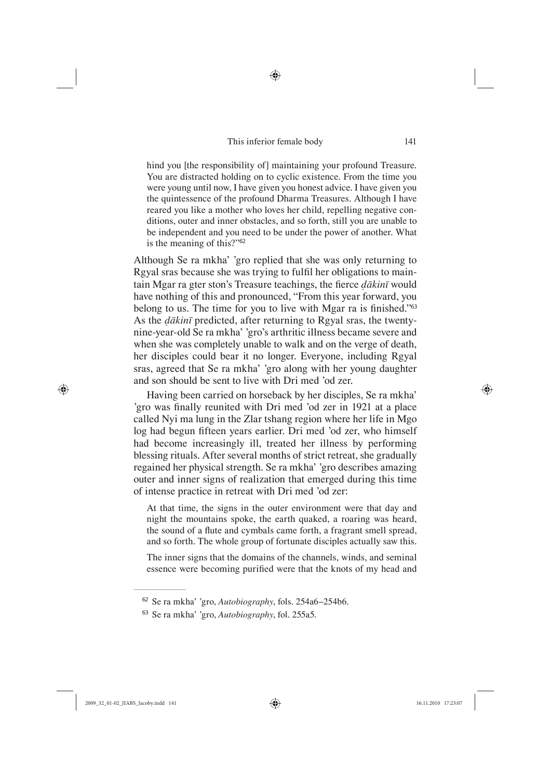◈

hind you [the responsibility of] maintaining your profound Treasure. You are distracted holding on to cyclic existence. From the time you were young until now, I have given you honest advice. I have given you the quintessence of the profound Dharma Treasures. Although I have reared you like a mother who loves her child, repelling negative conditions, outer and inner obstacles, and so forth, still you are unable to be independent and you need to be under the power of another. What is the meaning of this?"<sup>62</sup>

Although Se ra mkha' 'gro replied that she was only returning to Rgyal sras because she was trying to fulfil her obligations to maintain Mgar ra gter ston's Treasure teachings, the fierce  $d\bar{a}$ *kin* $\bar{i}$  would have nothing of this and pronounced, "From this year forward, you belong to us. The time for you to live with Mgar ra is finished."<sup>63</sup> As the *ḍākinī* predicted, after returning to Rgyal sras, the twentynine-year-old Se ra mkha' 'gro's arthritic illness became severe and when she was completely unable to walk and on the verge of death, her disciples could bear it no longer. Everyone, including Rgyal sras, agreed that Se ra mkha' 'gro along with her young daughter and son should be sent to live with Dri med 'od zer.

Having been carried on horseback by her disciples, Se ra mkha' 'gro was finally reunited with Dri med 'od zer in 1921 at a place called Nyi ma lung in the Zlar tshang region where her life in Mgo log had begun fifteen years earlier. Dri med 'od zer, who himself had become increasingly ill, treated her illness by performing blessing rituals. After several months of strict retreat, she gradually regained her physical strength. Se ra mkha' 'gro describes amazing outer and inner signs of realization that emerged during this time of intense practice in retreat with Dri med 'od zer:

At that time, the signs in the outer environment were that day and night the mountains spoke, the earth quaked, a roaring was heard, the sound of a flute and cymbals came forth, a fragrant smell spread, and so forth. The whole group of fortunate disciples actually saw this.

The inner signs that the domains of the channels, winds, and seminal essence were becoming purified were that the knots of my head and

⊕

<sup>62</sup> Se ra mkha' 'gro, *Autobiography*, fols. 254a6–254b6.

<sup>63</sup> Se ra mkha' 'gro, *Autobiography*, fol. 255a5.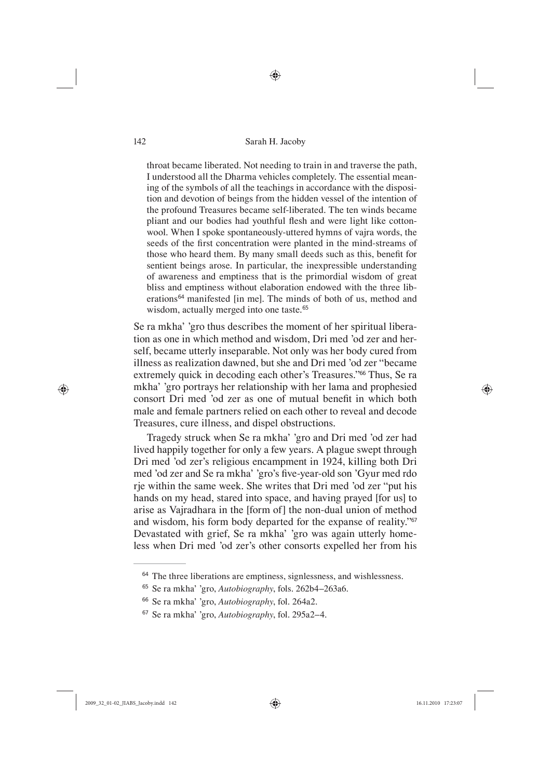◈

throat became liberated. Not needing to train in and traverse the path, I understood all the Dharma vehicles completely. The essential meaning of the symbols of all the teachings in accordance with the disposition and devotion of beings from the hidden vessel of the intention of the profound Treasures became self-liberated. The ten winds became pliant and our bodies had youthful flesh and were light like cottonwool. When I spoke spontaneously-uttered hymns of vajra words, the seeds of the first concentration were planted in the mind-streams of those who heard them. By many small deeds such as this, benefit for sentient beings arose. In particular, the inexpressible understanding of awareness and emptiness that is the primordial wisdom of great bliss and emptiness without elaboration endowed with the three liberations<sup>64</sup> manifested [in me]. The minds of both of us, method and wisdom, actually merged into one taste.<sup>65</sup>

Se ra mkha' 'gro thus describes the moment of her spiritual liberation as one in which method and wisdom, Dri med 'od zer and herself, became utterly inseparable. Not only was her body cured from illness as realization dawned, but she and Dri med 'od zer "became extremely quick in decoding each other's Treasures."66 Thus, Se ra mkha' 'gro portrays her relationship with her lama and prophesied consort Dri med 'od zer as one of mutual benefit in which both male and female partners relied on each other to reveal and decode Treasures, cure illness, and dispel obstructions.

Tragedy struck when Se ra mkha' 'gro and Dri med 'od zer had lived happily together for only a few years. A plague swept through Dri med 'od zer's religious encampment in 1924, killing both Dri med 'od zer and Se ra mkha' 'gro's five-year-old son 'Gyur med rdo rje within the same week. She writes that Dri med 'od zer "put his hands on my head, stared into space, and having prayed [for us] to arise as Vajradhara in the [form of] the non-dual union of method and wisdom, his form body departed for the expanse of reality."<sup>67</sup> Devastated with grief, Se ra mkha' 'gro was again utterly homeless when Dri med 'od zer's other consorts expelled her from his

⊕

<sup>&</sup>lt;sup>64</sup> The three liberations are emptiness, signlessness, and wishlessness.

<sup>65</sup> Se ra mkha' 'gro, *Autobiography*, fols. 262b4–263a6.

<sup>66</sup> Se ra mkha' 'gro, *Autobiography*, fol. 264a2.

<sup>67</sup> Se ra mkha' 'gro, *Autobiography*, fol. 295a2–4.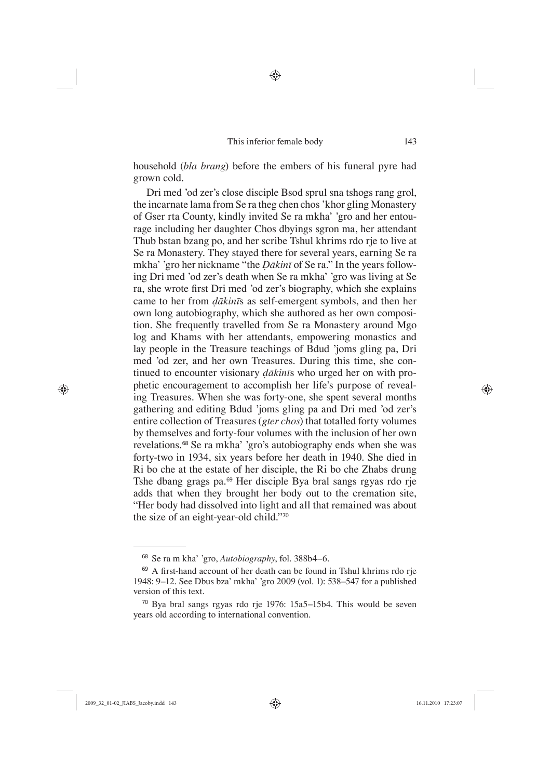◈

household (*bla brang*) before the embers of his funeral pyre had grown cold.

Dri med 'od zer's close disciple Bsod sprul sna tshogs rang grol, the incarnate lama from Se ra theg chen chos 'khor gling Monastery of Gser rta County, kindly invited Se ra mkha' 'gro and her entourage including her daughter Chos dbyings sgron ma, her attendant Thub bstan bzang po, and her scribe Tshul khrims rdo rje to live at Se ra Monastery. They stayed there for several years, earning Se ra mkha' 'gro her nickname "the *Ḍākinī* of Se ra." In the years following Dri med 'od zer's death when Se ra mkha' 'gro was living at Se ra, she wrote first Dri med 'od zer's biography, which she explains came to her from *ḍākinī*s as self-emergent symbols, and then her own long autobiography, which she authored as her own composition. She frequently travelled from Se ra Monastery around Mgo log and Khams with her attendants, empowering monastics and lay people in the Treasure teachings of Bdud 'joms gling pa, Dri med 'od zer, and her own Treasures. During this time, she continued to encounter visionary *ḍākinī*s who urged her on with prophetic encouragement to accomplish her life's purpose of revealing Treasures. When she was forty-one, she spent several months gathering and editing Bdud 'joms gling pa and Dri med 'od zer's entire collection of Treasures (*gter chos*) that totalled forty volumes by themselves and forty-four volumes with the inclusion of her own revelations.68 Se ra mkha' 'gro's autobiography ends when she was forty-two in 1934, six years before her death in 1940. She died in Ri bo che at the estate of her disciple, the Ri bo che Zhabs drung Tshe dbang grags pa.69 Her disciple Bya bral sangs rgyas rdo rje adds that when they brought her body out to the cremation site, "Her body had dissolved into light and all that remained was about the size of an eight-year-old child."<sup>70</sup>

 $\bigoplus$ 

<sup>68</sup> Se ra m kha' 'gro, *Autobiography*, fol. 388b4–6.

<sup>&</sup>lt;sup>69</sup> A first-hand account of her death can be found in Tshul khrims rdo rje 1948: 9–12. See Dbus bza' mkha' 'gro 2009 (vol. 1): 538–547 for a published version of this text.

<sup>70</sup> Bya bral sangs rgyas rdo rje 1976: 15a5–15b4. This would be seven years old according to international convention.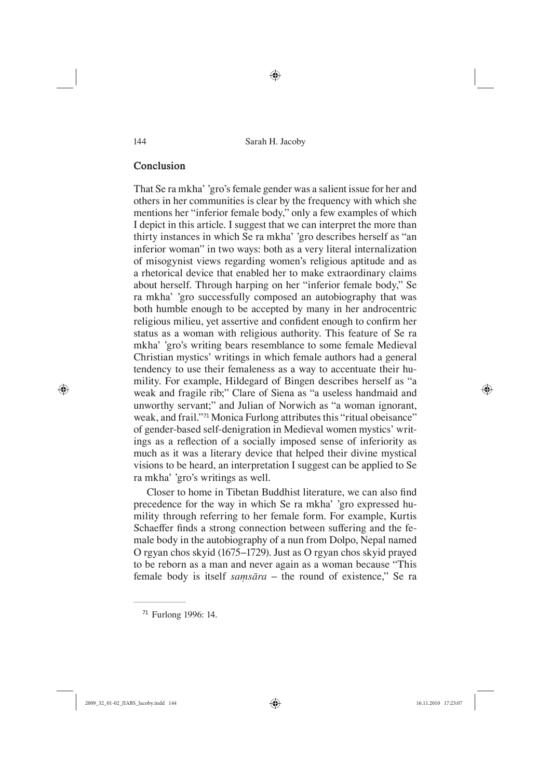# **Conclusion**

That Se ra mkha' 'gro's female gender was a salient issue for her and others in her communities is clear by the frequency with which she mentions her "inferior female body," only a few examples of which I depict in this article. I suggest that we can interpret the more than thirty instances in which Se ra mkha' 'gro describes herself as "an inferior woman" in two ways: both as a very literal internalization of misogynist views regarding women's religious aptitude and as a rhetorical device that enabled her to make extraordinary claims about herself. Through harping on her "inferior female body," Se ra mkha' 'gro successfully composed an autobiography that was both humble enough to be accepted by many in her androcentric religious milieu, yet assertive and confident enough to confirm her status as a woman with religious authority. This feature of Se ra mkha' 'gro's writing bears resemblance to some female Medieval Christian mystics' writings in which female authors had a general tendency to use their femaleness as a way to accentuate their humility. For example, Hildegard of Bingen describes herself as "a weak and fragile rib;" Clare of Siena as "a useless handmaid and unworthy servant;" and Julian of Norwich as "a woman ignorant, weak, and frail."71 Monica Furlong attributes this "ritual obeisance" of gender-based self-denigration in Medieval women mystics' writings as a reflection of a socially imposed sense of inferiority as much as it was a literary device that helped their divine mystical visions to be heard, an interpretation I suggest can be applied to Se ra mkha' 'gro's writings as well.

Closer to home in Tibetan Buddhist literature, we can also find precedence for the way in which Se ra mkha' 'gro expressed humility through referring to her female form. For example, Kurtis Schaeffer finds a strong connection between suffering and the female body in the autobiography of a nun from Dolpo, Nepal named O rgyan chos skyid (1675–1729). Just as O rgyan chos skyid prayed to be reborn as a man and never again as a woman because "This female body is itself *saṃsāra* – the round of existence," Se ra

2009\_32\_01-02\_JIABS\_Jacoby.indd 144 1 1 1 1 1 1 1 1 1 2 1 0 1 1 2 2 3:07 6.11.2010 17:23:07 6.11.2010 17:23:07

 $\bigoplus$ 

<sup>71</sup> Furlong 1996: 14.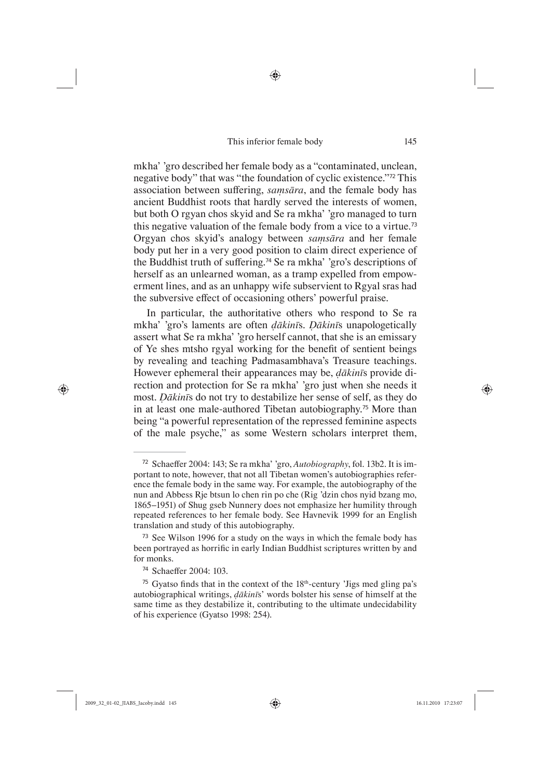mkha' 'gro described her female body as a "contaminated, unclean, negative body" that was "the foundation of cyclic existence."72 This association between suffering, *samsāra*, and the female body has ancient Buddhist roots that hardly served the interests of women, but both O rgyan chos skyid and Se ra mkha' 'gro managed to turn this negative valuation of the female body from a vice to a virtue.<sup>73</sup> Orgyan chos skyid's analogy between *saṃsāra* and her female body put her in a very good position to claim direct experience of the Buddhist truth of suffering.<sup>74</sup> Se ra mkha' 'gro's descriptions of herself as an unlearned woman, as a tramp expelled from empowerment lines, and as an unhappy wife subservient to Rgyal sras had the subversive effect of occasioning others' powerful praise.

In particular, the authoritative others who respond to Se ra mkha' 'gro's laments are often *ḍākinī*s. *Ḍākinī*s unapologetically assert what Se ra mkha' 'gro herself cannot, that she is an emissary of Ye shes mtsho rgyal working for the benefit of sentient beings by revealing and teaching Padmasambhava's Treasure teachings. However ephemeral their appearances may be, *ḍākinī*s provide direction and protection for Se ra mkha' 'gro just when she needs it most. *Ḍākinī*s do not try to destabilize her sense of self, as they do in at least one male-authored Tibetan autobiography.<sup>75</sup> More than being "a powerful representation of the repressed feminine aspects of the male psyche," as some Western scholars interpret them,

⊕

<sup>&</sup>lt;sup>72</sup> Schaeffer 2004: 143; Se ra mkha' 'gro, *Autobiography*, fol. 13b2. It is important to note, however, that not all Tibetan women's autobiographies reference the female body in the same way. For example, the autobiography of the nun and Abbess Rje btsun lo chen rin po che (Rig 'dzin chos nyid bzang mo, 1865–1951) of Shug gseb Nunnery does not emphasize her humility through repeated references to her female body. See Havnevik 1999 for an English translation and study of this autobiography.

<sup>&</sup>lt;sup>73</sup> See Wilson 1996 for a study on the ways in which the female body has been portrayed as horrific in early Indian Buddhist scriptures written by and for monks.

<sup>&</sup>lt;sup>74</sup> Schaeffer 2004: 103.

<sup>&</sup>lt;sup>75</sup> Gyatso finds that in the context of the  $18<sup>th</sup>$ -century 'Jigs med gling pa's autobiographical writings, *ḍākinī*s' words bolster his sense of himself at the same time as they destabilize it, contributing to the ultimate undecidability of his experience (Gyatso 1998: 254).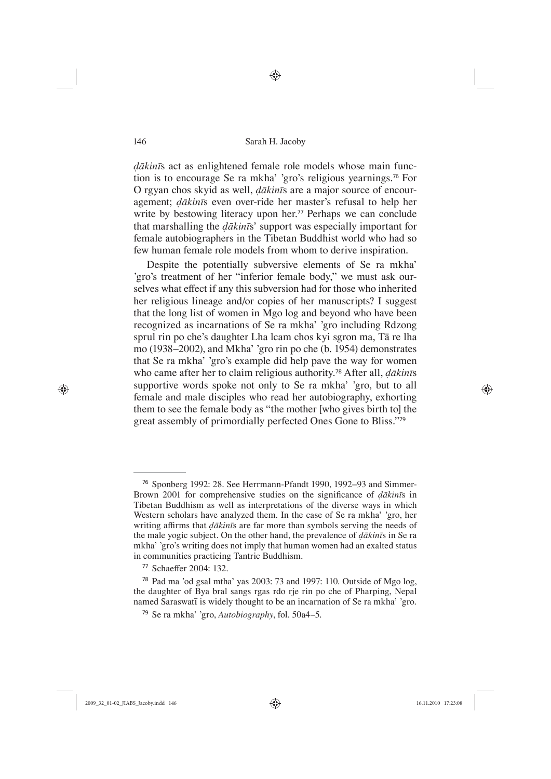◈

*ḍākinī*s act as enlightened female role models whose main function is to encourage Se ra mkha' 'gro's religious yearnings.<sup>76</sup> For O rgyan chos skyid as well, *ḍākinī*s are a major source of encouragement; *ḍākinī*s even over-ride her master's refusal to help her write by bestowing literacy upon her.<sup>77</sup> Perhaps we can conclude that marshalling the *ḍākinī*s' support was especially important for female autobiographers in the Tibetan Buddhist world who had so few human female role models from whom to derive inspiration.

Despite the potentially subversive elements of Se ra mkha' 'gro's treatment of her "inferior female body," we must ask ourselves what effect if any this subversion had for those who inherited her religious lineage and/or copies of her manuscripts? I suggest that the long list of women in Mgo log and beyond who have been recognized as incarnations of Se ra mkha' 'gro including Rdzong sprul rin po che's daughter Lha lcam chos kyi sgron ma, Tā re lha mo (1938–2002), and Mkha' 'gro rin po che (b. 1954) demonstrates that Se ra mkha' 'gro's example did help pave the way for women who came after her to claim religious authority.78 After all, *ḍākinī*s supportive words spoke not only to Se ra mkha' 'gro, but to all female and male disciples who read her autobiography, exhorting them to see the female body as "the mother [who gives birth to] the great assembly of primordially perfected Ones Gone to Bliss."<sup>79</sup>

<sup>77</sup> Schaeffer 2004: 132.

 $\bigoplus$ 

<sup>76</sup> Sponberg 1992: 28. See Herrmann-Pfandt 1990, 1992–93 and Simmer-Brown 2001 for comprehensive studies on the significance of  $d\bar{a}$ *kinīs* in Tibetan Buddhism as well as interpretations of the diverse ways in which Western scholars have analyzed them. In the case of Se ra mkha' 'gro, her writing affirms that *dākinīs* are far more than symbols serving the needs of the male yogic subject. On the other hand, the prevalence of *ḍākinī*s in Se ra mkha' 'gro's writing does not imply that human women had an exalted status in communities practicing Tantric Buddhism.

<sup>78</sup> Pad ma 'od gsal mtha' yas 2003: 73 and 1997: 110. Outside of Mgo log, the daughter of Bya bral sangs rgas rdo rje rin po che of Pharping, Nepal named Saraswatī is widely thought to be an incarnation of Se ra mkha' 'gro.

<sup>79</sup> Se ra mkha' 'gro, *Autobiography*, fol. 50a4–5.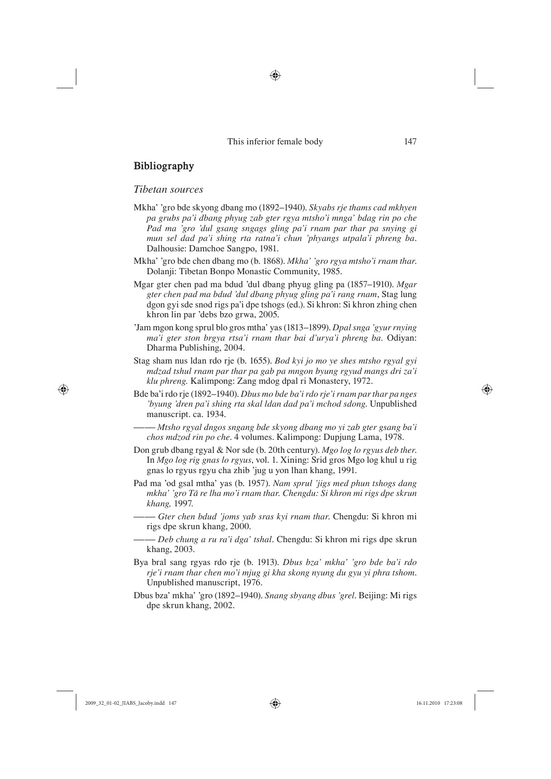# **Bibliography**

### *Tibetan sources*

- Mkha' 'gro bde skyong dbang mo (1892–1940). *Skyabs rje thams cad mkhyen pa grubs pa'i dbang phyug zab gter rgya mtsho'i mnga' bdag rin po che Pad ma 'gro 'dul gsang sngags gling pa'i rnam par thar pa snying gi mun sel dad pa'i shing rta ratna'i chun 'phyangs utpala'i phreng ba*. Dalhousie: Damchoe Sangpo, 1981.
- Mkha' 'gro bde chen dbang mo (b. 1868). *Mkha' 'gro rgya mtsho'i rnam thar*. Dolanji: Tibetan Bonpo Monastic Community, 1985.
- Mgar gter chen pad ma bdud 'dul dbang phyug gling pa (1857–1910). *Mgar gter chen pad ma bdud 'dul dbang phyug gling pa'i rang rnam*, Stag lung dgon gyi sde snod rigs pa'i dpe tshogs (ed.). Si khron: Si khron zhing chen khron lin par 'debs bzo grwa, 2005.
- 'Jam mgon kong sprul blo gros mtha' yas (1813–1899). *Dpal snga 'gyur rnying ma'i gter ston brgya rtsa'i rnam thar bai d'urya'i phreng ba.* Odiyan: Dharma Publishing, 2004.
- Stag sham nus ldan rdo rje (b. 1655). *Bod kyi jo mo ye shes mtsho rgyal gyi mdzad tshul rnam par thar pa gab pa mngon byung rgyud mangs dri za'i klu phreng.* Kalimpong: Zang mdog dpal ri Monastery, 1972.
- Bde ba'i rdo rje (1892–1940). *Dbus mo bde ba'i rdo rje'i rnam par thar pa nges 'byung 'dren pa'i shing rta skal ldan dad pa'i mchod sdong*. Unpublished manuscript. ca. 1934.
- ―― *Mtsho rgyal dngos sngang bde skyong dbang mo yi zab gter gsang ba'i chos mdzod rin po che*. 4 volumes. Kalimpong: Dupjung Lama, 1978.
- Don grub dbang rgyal & Nor sde (b. 20th century). *Mgo log lo rgyus deb ther*. In *Mgo log rig gnas lo rgyus*, vol. 1. Xining: Srid gros Mgo log khul u rig gnas lo rgyus rgyu cha zhib 'jug u yon lhan khang, 1991.
- Pad ma 'od gsal mtha' yas (b. 1957). *Nam sprul 'jigs med phun tshogs dang mkha' 'gro Tā re lha mo'i rnam thar. Chengdu: Si khron mi rigs dpe skrun khang,* 1997*.*
- ―― *Gter chen bdud 'joms yab sras kyi rnam thar*. Chengdu: Si khron mi rigs dpe skrun khang, 2000.
- ―― *Deb chung a ru ra'i dga' tshal*. Chengdu: Si khron mi rigs dpe skrun khang, 2003.
- Bya bral sang rgyas rdo rje (b. 1913). *Dbus bza' mkha' 'gro bde ba'i rdo rje'i rnam thar chen mo'i mjug gi kha skong nyung du gyu yi phra tshom*. Unpublished manuscript, 1976.
- Dbus bza' mkha' 'gro (1892–1940). *Snang sbyang dbus 'grel*. Beijing: Mi rigs dpe skrun khang, 2002.

⊕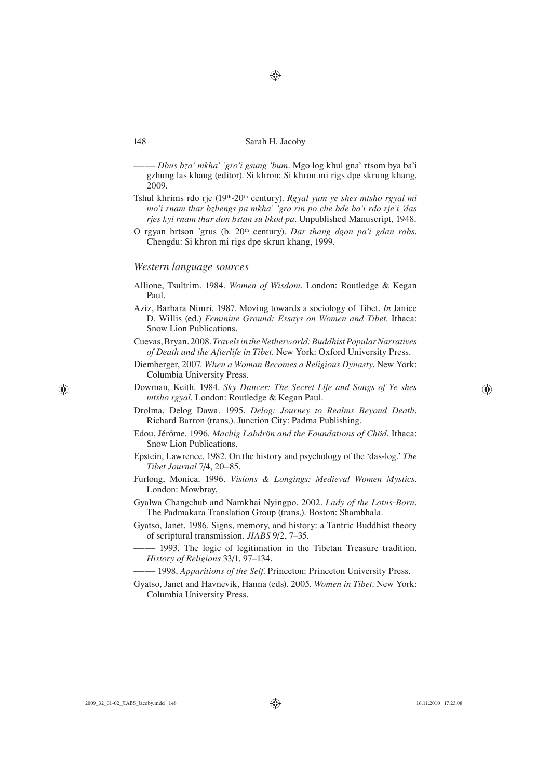◈

- ―― *Dbus bza' mkha' 'gro'i gsung 'bum*. Mgo log khul gna' rtsom bya ba'i gzhung las khang (editor). Si khron: Si khron mi rigs dpe skrung khang, 2009.
- Tshul khrims rdo rje (19<sup>th</sup>-20<sup>th</sup> century). *Rgyal yum ye shes mtsho rgyal mi mo'i rnam thar bzhengs pa mkha' 'gro rin po che bde ba'i rdo rje'i 'das rjes kyi rnam thar don bstan su bkod pa*. Unpublished Manuscript, 1948.
- O rgyan brtson 'grus (b. 20th century). *Dar thang dgon pa'i gdan rabs*. Chengdu: Si khron mi rigs dpe skrun khang, 1999.

### *Western language sources*

- Allione, Tsultrim. 1984. *Women of Wisdom*. London: Routledge & Kegan Paul.
- Aziz, Barbara Nimri. 1987. Moving towards a sociology of Tibet. *In* Janice D. Willis (ed.) *Feminine Ground: Essays on Women and Tibet*. Ithaca: Snow Lion Publications.
- Cuevas, Bryan. 2008. *Travels in the Netherworld: Buddhist Popular Narratives of Death and the Afterlife in Tibet*. New York: Oxford University Press.
- Diemberger, 2007. *When a Woman Becomes a Religious Dynasty*. New York: Columbia University Press.
- Dowman, Keith. 1984. *Sky Dancer: The Secret Life and Songs of Ye shes mtsho rgyal*. London: Routledge & Kegan Paul.
- Drolma, Delog Dawa. 1995. *Delog: Journey to Realms Beyond Death*. Richard Barron (trans.). Junction City: Padma Publishing.
- Edou, Jérôme. 1996. *Machig Labdrön and the Foundations of Chöd*. Ithaca: Snow Lion Publications.
- Epstein, Lawrence. 1982. On the history and psychology of the 'das-log.' *The Tibet Journal* 7/4, 20–85.
- Furlong, Monica. 1996. *Visions & Longings: Medieval Women Mystics*. London: Mowbray.
- Gyalwa Changchub and Namkhai Nyingpo. 2002. *Lady of the Lotus-Born*. The Padmakara Translation Group (trans.). Boston: Shambhala.
- Gyatso, Janet. 1986. Signs, memory, and history: a Tantric Buddhist theory of scriptural transmission. *JIABS* 9/2, 7–35.
- ―― 1993. The logic of legitimation in the Tibetan Treasure tradition. *History of Religions* 33/1, 97–134.
- ―― 1998. *Apparitions of the Self*. Princeton: Princeton University Press.
- Gyatso, Janet and Havnevik, Hanna (eds). 2005. *Women in Tibet*. New York: Columbia University Press.

⊕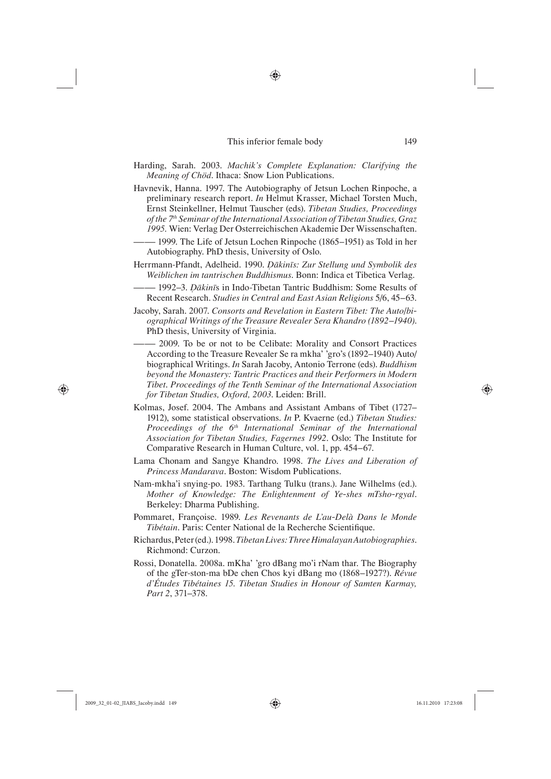- Harding, Sarah. 2003. *Machik's Complete Explanation: Clarifying the Meaning of Chöd*. Ithaca: Snow Lion Publications.
- Havnevik, Hanna. 1997. The Autobiography of Jetsun Lochen Rinpoche, a preliminary research report. *In* Helmut Krasser, Michael Torsten Much, Ernst Steinkellner, Helmut Tauscher (eds). *Tibetan Studies, Proceedings of the 7th Seminar of the International Association of Tibetan Studies, Graz 1995.* Wien: Verlag Der Osterreichischen Akademie Der Wissenschaften.
	- ―― 1999. The Life of Jetsun Lochen Rinpoche (1865–1951) as Told in her Autobiography. PhD thesis, University of Oslo.
- Herrmann-Pfandt, Adelheid. 1990. *Ḍākinīs: Zur Stellung und Symbolik des Weiblichen im tantrischen Buddhismus*. Bonn: Indica et Tibetica Verlag.
- ―― 1992–3. *Ḍākinī*s in Indo-Tibetan Tantric Buddhism: Some Results of Recent Research. *Studies in Central and East Asian Religions* 5/6, 45–63.
- Jacoby, Sarah. 2007. *Consorts and Revelation in Eastern Tibet: The Auto*/*biographical Writings of the Treasure Revealer Sera Khandro (1892–1940)*. PhD thesis, University of Virginia.
- ―― 2009. To be or not to be Celibate: Morality and Consort Practices According to the Treasure Revealer Se ra mkha' 'gro's (1892–1940) Auto/ biographical Writings. *In* Sarah Jacoby, Antonio Terrone (eds). *Buddhism beyond the Monastery: Tantric Practices and their Performers in Modern Tibet*. *Proceedings of the Tenth Seminar of the International Association for Tibetan Studies, Oxford, 2003*. Leiden: Brill.
- Kolmas, Josef. 2004. The Ambans and Assistant Ambans of Tibet (1727– 1912), some statistical observations. *In* P. Kvaerne (ed.) *Tibetan Studies:*  Proceedings of the 6<sup>th</sup> International Seminar of the International *Association for Tibetan Studies, Fagernes 1992*. Oslo: The Institute for Comparative Research in Human Culture, vol. 1, pp. 454–67.
- Lama Chonam and Sangye Khandro. 1998. *The Lives and Liberation of Princess Mandarava*. Boston: Wisdom Publications.
- Nam-mkha'i snying-po. 1983. Tarthang Tulku (trans.). Jane Wilhelms (ed.). *Mother of Knowledge: The Enlightenment of Ye-shes mTsho-rgyal*. Berkeley: Dharma Publishing.
- Pommaret, Françoise. 1989. *Les Revenants de L'au-Delà Dans le Monde Tibétain*. Paris: Center National de la Recherche Scientifique.
- Richardus, Peter (ed.). 1998. *Tibetan Lives: Three Himalayan Autobiographies*. Richmond: Curzon.
- Rossi, Donatella. 2008a. mKha' 'gro dBang mo'i rNam thar. The Biography of the gTer-ston-ma bDe chen Chos kyi dBang mo (1868–1927?). *Révue d'Études Tibétaines 15. Tibetan Studies in Honour of Samten Karmay, Part 2*, 371–378.

⊕